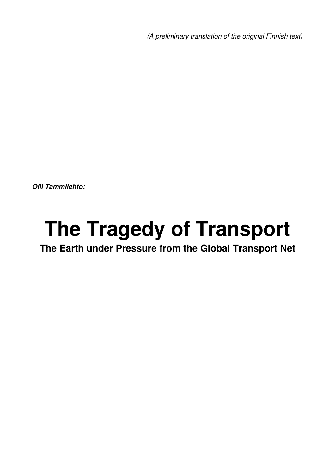*(A preliminary translation of the original Finnish text)*

*Olli Tammilehto:*

# **The Tragedy of Transport**

# **The Earth under Pressure from the Global Transport Net**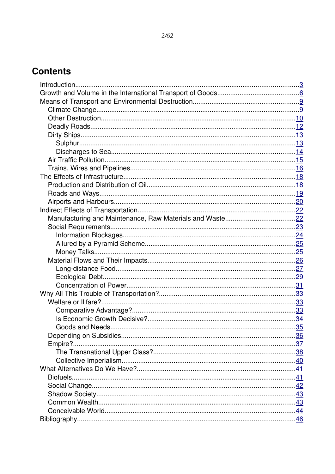# **Contents**

| Empire?. |  |
|----------|--|
|          |  |
|          |  |
|          |  |
|          |  |
|          |  |
|          |  |
|          |  |
|          |  |
|          |  |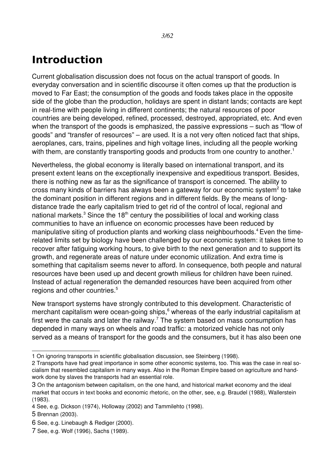# <span id="page-2-0"></span>**Introduction**

Current globalisation discussion does not focus on the actual transport of goods. In everyday conversation and in scientific discourse it often comes up that the production is moved to Far East; the consumption of the goods and foods takes place in the opposite side of the globe than the production, holidays are spent in distant lands; contacts are kept in real-time with people living in different continents; the natural resources of poor countries are being developed, refined, processed, destroyed, appropriated, etc. And even when the transport of the goods is emphasized, the passive expressions – such as "flow of goods" and "transfer of resources" – are used. It is a not very often noticed fact that ships, aeroplanes, cars, trains, pipelines and high voltage lines, including all the people working with them, are constantly transporting goods and products from one country to another.<sup>[1](#page-2-1)</sup>

Nevertheless, the global economy is literally based on international transport, and its present extent leans on the exceptionally inexpensive and expeditious transport. Besides, there is nothing new as far as the significance of transport is concerned. The ability to cross many kinds of barriers has always been a gateway for our economic system<sup>[2](#page-2-2)</sup> to take the dominant position in different regions and in different fields. By the means of longdistance trade the early capitalism tried to get rid of the control of local, regional and national markets. $3$  Since the 18<sup>th</sup> century the possibilities of local and working class communities to have an influence on economic processes have been reduced by manipulative siting of production plants and working class neighbourhoods.<sup>[4](#page-2-4)</sup> Even the timerelated limits set by biology have been challenged by our economic system: it takes time to recover after fatiguing working hours, to give birth to the next generation and to support its growth, and regenerate areas of nature under economic utilization. And extra time is something that capitalism seems never to afford. In consequence, both people and natural resources have been used up and decent growth milieus for children have been ruined. Instead of actual regeneration the demanded resources have been acquired from other regions and other countries.<sup>[5](#page-2-5)</sup>

New transport systems have strongly contributed to this development. Characteristic of merchant capitalism were ocean-going ships,<sup>[6](#page-2-6)</sup> whereas of the early industrial capitalism at first were the canals and later the railway.<sup>[7](#page-2-7)</sup> The system based on mass consumption has depended in many ways on wheels and road traffic: a motorized vehicle has not only served as a means of transport for the goods and the consumers, but it has also been one

<span id="page-2-1"></span><sup>1</sup> On ignoring transports in scientific globalisation discussion, see Steinberg (1998).

<span id="page-2-2"></span><sup>2</sup> Transports have had great importance in some other economic systems, too. This was the case in real socialism that resembled capitalism in many ways. Also in the Roman Empire based on agriculture and handwork done by slaves the transports had an essential role.

<span id="page-2-3"></span><sup>3</sup> On the antagonism between capitalism, on the one hand, and historical market economy and the ideal market that occurs in text books and economic rhetoric, on the other, see, e.g. Braudel (1988), Wallerstein (1983).

<span id="page-2-4"></span><sup>4</sup> See, e.g. Dickson (1974), Holloway (2002) and Tammilehto (1998).

<span id="page-2-5"></span><sup>5</sup> Brennan (2003).

<span id="page-2-6"></span><sup>6</sup> See, e.g. Linebaugh & Rediger (2000).

<span id="page-2-7"></span><sup>7</sup> See, e.g. Wolf (1996), Sachs (1989).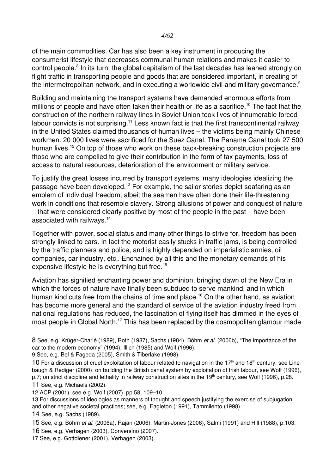of the main commodities. Car has also been a key instrument in producing the consumerist lifestyle that decreases communal human relations and makes it easier to control people.<sup>[8](#page-3-0)</sup> In its turn, the global capitalism of the last decades has leaned strongly on flight traffic in transporting people and goods that are considered important, in creating of the intermetropolitan network, and in executing a worldwide civil and military governance.<sup>[9](#page-3-1)</sup>

Building and maintaining the transport systems have demanded enormous efforts from millions of people and have often taken their health or life as a sacrifice.<sup>[10](#page-3-2)</sup> The fact that the construction of the northern railway lines in Soviet Union took lives of innumerable forced labour convicts is not surprising.<sup>[11](#page-3-3)</sup> Less known fact is that the first transcontinental railway in the United States claimed thousands of human lives – the victims being mainly Chinese workmen. 20 000 lives were sacrificed for the Suez Canal. The Panama Canal took 27 500 human lives.<sup>[12](#page-3-4)</sup> On top of those who work on these back-breaking construction projects are those who are compelled to give their contribution in the form of tax payments, loss of access to natural resources, deterioration of the environment or military service.

To justify the great losses incurred by transport systems, many ideologies idealizing the passage have been developed.<sup>[13](#page-3-5)</sup> For example, the sailor stories depict seafaring as an emblem of individual freedom, albeit the seamen have often done their life-threatening work in conditions that resemble slavery. Strong allusions of power and conquest of nature – that were considered clearly positive by most of the people in the past – have been associated with railways.[14](#page-3-6)

Together with power, social status and many other things to strive for, freedom has been strongly linked to cars. In fact the motorist easily stucks in traffic jams, is being controlled by the traffic planners and police, and is highly depended on imperialistic armies, oil companies, car industry, etc.. Enchained by all this and the monetary demands of his expensive lifestyle he is everything but free.<sup>[15](#page-3-7)</sup>

Aviation has signified enchanting power and dominion, bringing dawn of the New Era in which the forces of nature have finally been subdued to serve mankind, and in which human kind cuts free from the chains of time and place.<sup>[16](#page-3-8)</sup> On the other hand, as aviation has become more general and the standard of service of the aviation industry freed from national regulations has reduced, the fascination of flying itself has dimmed in the eyes of most people in Global North.<sup>[17](#page-3-9)</sup> This has been replaced by the cosmopolitan glamour made

<span id="page-3-0"></span><sup>8</sup> See, e.g. Krüger-Charlé (1989), Roth (1987), Sachs (1984), Böhm *et al.* (2006b), "The importance of the car to the modern economy" (1994), Illich (1985) and Wolf (1996).

<span id="page-3-1"></span><sup>9</sup> See, e.g. Bel & Fageda (2005), Smith & Tiberlake (1998).

<span id="page-3-2"></span><sup>10</sup> For a discussion of cruel exploitation of labour related to navigation in the 17<sup>th</sup> and 18<sup>th</sup> century, see Linebaugh & Rediger (2000); on building the British canal system by exploitation of Irish labour, see Wolf (1996), p.7; on strict discipline and lethality in railway construction sites in the  $19<sup>th</sup>$  century, see Wolf (1996), p.28. 11 See, e.g. Michaels (2002).

<span id="page-3-4"></span><span id="page-3-3"></span><sup>12</sup> ACP (2001), see e.g. Wolf (2007), pp.58, 109–10.

<span id="page-3-5"></span><sup>13</sup> For discussions of ideologies as manners of thought and speech justifying the exercise of subjugation and other negative societal practices; see, e.g. Eagleton (1991), Tammilehto (1998).

<span id="page-3-6"></span><sup>14</sup> See, e.g. Sachs (1989).

<span id="page-3-7"></span><sup>15</sup> See, e.g. Böhm *et al.* (2006a), Rajan (2006), Martin-Jones (2006), Salmi (1991) and Hill (1988), p.103.

<span id="page-3-8"></span><sup>16</sup> See, e.g. Verhagen (2003), Conversino (2007).

<span id="page-3-9"></span><sup>17</sup> See, e.g. Gottdiener (2001), Verhagen (2003).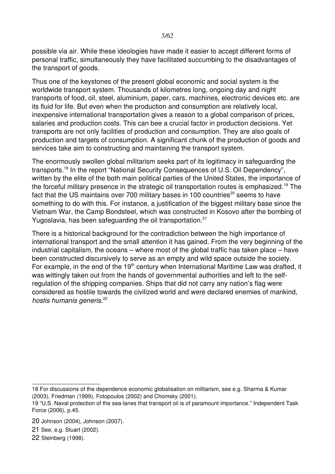possible via air. While these ideologies have made it easier to accept different forms of personal traffic, simultaneously they have facilitated succumbing to the disadvantages of the transport of goods.

Thus one of the keystones of the present global economic and social system is the worldwide transport system. Thousands of kilometres long, ongoing day and night transports of food, oil, steel, aluminium, paper, cars, machines, electronic devices etc. are its fluid for life. But even when the production and consumption are relatively local, inexpensive international transportation gives a reason to a global comparison of prices, salaries and production costs. This can bee a crucial factor in production decisions. Yet transports are not only facilities of production and consumption. They are also goals of production and targets of consumption. A significant chunk of the production of goods and services take aim to constructing and maintaining the transport system.

The enormously swollen global militarism seeks part of its legitimacy in safeguarding the transports.[18](#page-4-0) In the report "National Security Consequences of U.S. Oil Dependency", written by the elite of the both main political parties of the United States, the importance of the forceful military presence in the strategic oil transportation routes is emphasized.<sup>[19](#page-4-1)</sup> The fact that the US maintains over 700 military bases in 100 countries $^{20}$  $^{20}$  $^{20}$  seems to have something to do with this. For instance, a justification of the biggest military base since the Vietnam War, the Camp Bondsteel, which was constructed in Kosovo after the bombing of Yugoslavia, has been safeguarding the oil transportation.<sup>[21](#page-4-3)</sup>

There is a historical background for the contradiction between the high importance of international transport and the small attention it has gained. From the very beginning of the industrial capitalism, the oceans – where most of the global traffic has taken place – have been constructed discursively to serve as an empty and wild space outside the society. For example, in the end of the  $19<sup>th</sup>$  century when International Maritime Law was drafted, it was wittingly taken out from the hands of governmental authorities and left to the selfregulation of the shipping companies. Ships that did not carry any nation's flag were considered as hostile towards the civilized world and were declared enemies of mankind, *hostis humanis generis.*<sup>[22](#page-4-4)</sup>

<span id="page-4-0"></span><sup>18</sup> For discussions of the dependence economic globalisation on militarism, see e.g. Sharma & Kumar (2003), Friedman (1999), Fotopoulos (2002) and Chomsky (2001).

<span id="page-4-1"></span><sup>19 &</sup>quot;U.S. Naval protection of the sea-lanes that transport oil is of paramount importance." Independent Task Force (2006), p.45.

<span id="page-4-2"></span><sup>20</sup> Johnson (2004), Johnson (2007).

<span id="page-4-3"></span><sup>21</sup> See, e.g. Stuart (2002).

<span id="page-4-4"></span><sup>22</sup> Steinberg (1998).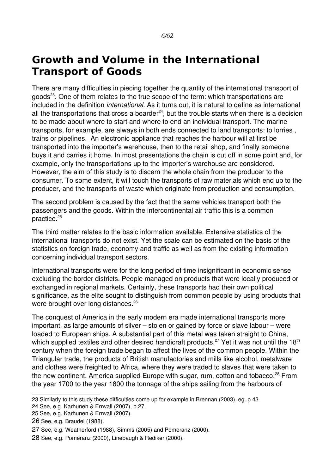# <span id="page-5-0"></span>**Growth and Volume in the International Transport of Goods**

There are many difficulties in piecing together the quantity of the international transport of goods<sup>[23](#page-5-1)</sup>. One of them relates to the true scope of the term: which transportations are included in the definition *international*. As it turns out, it is natural to define as international all the transportations that cross a boarder<sup>[24](#page-5-2)</sup>, but the trouble starts when there is a decision to be made about where to start and where to end an individual transport. The marine transports, for example, are always in both ends connected to land transports: to lorries , trains or pipelines. An electronic appliance that reaches the harbour will at first be transported into the importer's warehouse, then to the retail shop, and finally someone buys it and carries it home. In most presentations the chain is cut off in some point and, for example, only the transportations up to the importer's warehouse are considered. However, the aim of this study is to discern the whole chain from the producer to the consumer. To some extent, it will touch the transports of raw materials which end up to the producer, and the transports of waste which originate from production and consumption.

The second problem is caused by the fact that the same vehicles transport both the passengers and the goods. Within the intercontinental air traffic this is a common practice.<sup>[25](#page-5-3)</sup>

The third matter relates to the basic information available. Extensive statistics of the international transports do not exist. Yet the scale can be estimated on the basis of the statistics on foreign trade, economy and traffic as well as from the existing information concerning individual transport sectors.

International transports were for the long period of time insignificant in economic sense excluding the border districts. People managed on products that were locally produced or exchanged in regional markets. Certainly, these transports had their own political significance, as the elite sought to distinguish from common people by using products that were brought over long distances.<sup>[26](#page-5-4)</sup>

The conquest of America in the early modern era made international transports more important, as large amounts of silver – stolen or gained by force or slave labour – were loaded to European ships. A substantial part of this metal was taken straight to China, which supplied textiles and other desired handicraft products.<sup>[27](#page-5-5)</sup> Yet it was not until the 18<sup>th</sup> century when the foreign trade began to affect the lives of the common people. Within the Triangular trade, the products of British manufactories and mills like alcohol, metalware and clothes were freighted to Africa, where they were traded to slaves that were taken to the new continent. America supplied Europe with sugar, rum, cotton and tobacco.<sup>[28](#page-5-6)</sup> From the year 1700 to the year 1800 the tonnage of the ships sailing from the harbours of

<span id="page-5-2"></span>24 See, e.g. Karhunen & Ernvall (2007), p.27.

<span id="page-5-1"></span><sup>23</sup> Similarly to this study these difficulties come up for example in Brennan (2003), eg. p.43.

<span id="page-5-3"></span><sup>25</sup> See, e.g. Karhunen & Ernvall (2007).

<span id="page-5-4"></span><sup>26</sup> See, e.g. Braudel (1988).

<span id="page-5-5"></span><sup>27</sup> See, e.g. Weatherford (1988), Simms (2005) and Pomeranz (2000).

<span id="page-5-6"></span><sup>28</sup> See, e.g. Pomeranz (2000), Linebaugh & Rediker (2000).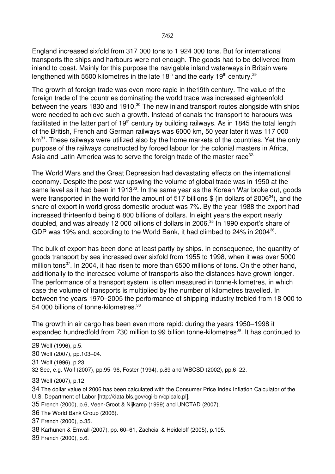England increased sixfold from 317 000 tons to 1 924 000 tons. But for international transports the ships and harbours were not enough. The goods had to be delivered from inland to coast. Mainly for this purpose the navigable inland waterways in Britain were lengthened with 5500 kilometres in the late 18<sup>th</sup> and the early 19<sup>th</sup> century.<sup>[29](#page-6-0)</sup>

The growth of foreign trade was even more rapid in the19th century. The value of the foreign trade of the countries dominating the world trade was increased eighteenfold between the years 18[30](#page-6-1) and 1910.<sup>30</sup> The new inland transport routes alongside with ships were needed to achieve such a growth. Instead of canals the transport to harbours was facilitated in the latter part of  $19<sup>th</sup>$  century by building railways. As in 1845 the total length of the British, French and German railways was 6000 km, 50 year later it was 117 000  $km<sup>31</sup>$  $km<sup>31</sup>$  $km<sup>31</sup>$ . These railways were utilized also by the home markets of the countries. Yet the only purpose of the railways constructed by forced labour for the colonial masters in Africa, Asia and Latin America was to serve the foreign trade of the master race<sup>[32.](#page-6-3)</sup>

The World Wars and the Great Depression had devastating effects on the international economy. Despite the post-war upswing the volume of global trade was in 1950 at the same level as it had been in 1913<sup>[33](#page-6-4)</sup>. In the same year as the Korean War broke out, goods were transported in the world for the amount of 517 billions  $$$  (in dollars of 2006<sup>[34](#page-6-5)</sup>), and the share of export in world gross domestic product was 7%. By the year 1988 the export had increased thirteenfold being 6 800 billions of dollars. In eight years the export nearly doubled, and was already 12 000 billions of dollars in 2006.<sup>[35](#page-6-6)</sup> In 1990 export's share of GDP was 19% and, according to the World Bank, it had climbed to 24% in 2004<sup>[36](#page-6-7)</sup>.

The bulk of export has been done at least partly by ships. In consequence, the quantity of goods transport by sea increased over sixfold from 1955 to 1998, when it was over 5000 million tons<sup>[37](#page-6-8)</sup>. In 2004, it had risen to more than 6500 millions of tons. On the other hand, additionally to the increased volume of transports also the distances have grown longer. The performance of a transport system is often measured in tonne-kilometres, in which case the volume of transports is multiplied by the number of kilometres travelled. In between the years 1970–2005 the performance of shipping industry trebled from 18 000 to 54 000 billions of tonne-kilometres.<sup>[38](#page-6-9)</sup>

The growth in air cargo has been even more rapid: during the years 1950–1998 it expanded hundredfold from 730 million to 99 billion tonne-kilometres<sup>[39](#page-6-10)</sup>. It has continued to

<span id="page-6-2"></span>31 Wolf (1996), p.23.

<span id="page-6-4"></span>33 Wolf (2007), p.12.

<span id="page-6-5"></span>34 The dollar value of 2006 has been calculated with the Consumer Price Index Inflation Calculator of the U.S. Department of Labor [http://data.bls.gov/cgi-bin/cpicalc.pl].

- <span id="page-6-6"></span>35 French (2000), p.6, Veen-Groot & Nijkamp (1999) and UNCTAD (2007).
- <span id="page-6-7"></span>36 The World Bank Group (2006).
- <span id="page-6-8"></span>37 French (2000), p.35.

<span id="page-6-9"></span>38 Karhunen & Ernvall (2007), pp. 60–61, Zachcial & Heideloff (2005), p.105.

<span id="page-6-10"></span>39 French (2000), p.6.

<span id="page-6-0"></span><sup>29</sup> Wolf (1996), p.5.

<span id="page-6-1"></span><sup>30</sup> Wolf (2007), pp.103–04.

<span id="page-6-3"></span><sup>32</sup> See, e.g. Wolf (2007), pp.95–96, Foster (1994), p.89 and WBCSD (2002), pp.6–22.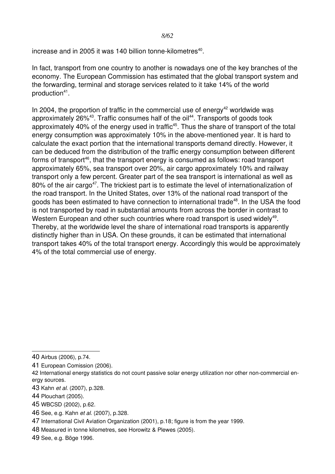increase and in 2005 it was 1[40](#page-7-0) billion tonne-kilometres $^{40}$ .

In fact, transport from one country to another is nowadays one of the key branches of the economy. The European Commission has estimated that the global transport system and the forwarding, terminal and storage services related to it take 14% of the world production<sup>[41](#page-7-1)</sup>.

In 2004, the proportion of traffic in the commercial use of energy<sup>[42](#page-7-2)</sup> worldwide was approximately 26%<sup>[43](#page-7-3)</sup>. Traffic consumes half of the oil<sup>[44](#page-7-4)</sup>. Transports of goods took approximately 40% of the energy used in traffic<sup>[45](#page-7-5)</sup>. Thus the share of transport of the total energy consumption was approximately 10% in the above-mentioned year. It is hard to calculate the exact portion that the international transports demand directly. However, it can be deduced from the distribution of the traffic energy consumption between different forms of transport<sup>[46](#page-7-6)</sup>, that the transport energy is consumed as follows: road transport approximately 65%, sea transport over 20%, air cargo approximately 10% and railway transport only a few percent. Greater part of the sea transport is international as well as 80% of the air cargo<sup>[47](#page-7-7)</sup>. The trickiest part is to estimate the level of internationalization of the road transport. In the United States, over 13% of the national road transport of the goods has been estimated to have connection to international trade<sup>[48](#page-7-8)</sup>. In the USA the food is not transported by road in substantial amounts from across the border in contrast to Western European and other such countries where road transport is used widely<sup>[49](#page-7-9)</sup>. Thereby, at the worldwide level the share of international road transports is apparently distinctly higher than in USA. On these grounds, it can be estimated that international transport takes 40% of the total transport energy. Accordingly this would be approximately 4% of the total commercial use of energy.

- <span id="page-7-5"></span>45 WBCSD (2002), p.62.
- <span id="page-7-6"></span>46 See, e.g. Kahn *et al.* (2007), p.328.

- <span id="page-7-8"></span>48 Measured in tonne kilometres, see Horowitz & Plewes (2005).
- <span id="page-7-9"></span>49 See, e.g. Böge 1996.

<span id="page-7-0"></span><sup>40</sup> Airbus (2006), p.74.

<span id="page-7-1"></span><sup>41</sup> European Comission (2006).

<span id="page-7-2"></span><sup>42</sup> International energy statistics do not count passive solar energy utilization nor other noncommercial energy sources.

<span id="page-7-3"></span><sup>43</sup> Kahn *et al.* (2007), p.328.

<span id="page-7-4"></span><sup>44</sup> Plouchart (2005).

<span id="page-7-7"></span><sup>47</sup> International Civil Aviation Organization (2001), p.18; figure is from the year 1999.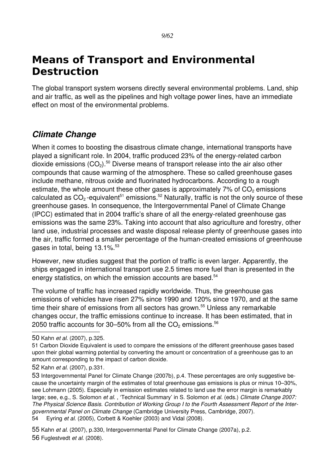# <span id="page-8-1"></span>**Means of Transport and Environmental Destruction**

The global transport system worsens directly several environmental problems. Land, ship and air traffic, as well as the pipelines and high voltage power lines, have an immediate effect on most of the environmental problems.

### <span id="page-8-0"></span>*Climate Change*

When it comes to boosting the disastrous climate change, international transports have played a significant role. In 2004, traffic produced 23% of the energy-related carbon dioxide emissions  $(CO<sub>2</sub>)$ <sup>[50](#page-8-2)</sup> Diverse means of transport release into the air also other compounds that cause warming of the atmosphere. These so called greenhouse gases include methane, nitrous oxide and fluorinated hydrocarbons. According to a rough estimate, the whole amount these other gases is approximately  $7\%$  of  $CO<sub>2</sub>$  emissions calculated as  $CO<sub>2</sub>$ -equivalent<sup>[51](#page-8-3)</sup> emissions.<sup>[52](#page-8-4)</sup> Naturally, traffic is not the only source of these greenhouse gases. In consequence, the Intergovernmental Panel of Climate Change (IPCC) estimated that in 2004 traffic's share of all the energy-related greenhouse gas emissions was the same 23%. Taking into account that also agriculture and forestry, other land use, industrial processes and waste disposal release plenty of greenhouse gases into the air, traffic formed a smaller percentage of the human-created emissions of greenhouse gases in total, being 13.1%.<sup>[53](#page-8-5)</sup>

However, new studies suggest that the portion of traffic is even larger. Apparently, the ships engaged in international transport use 2.5 times more fuel than is presented in the energy statistics, on which the emission accounts are based.<sup>[54](#page-8-6)</sup>

The volume of traffic has increased rapidly worldwide. Thus, the greenhouse gas emissions of vehicles have risen 27% since 1990 and 120% since 1970, and at the same time their share of emissions from all sectors has grown.<sup>[55](#page-8-7)</sup> Unless any remarkable changes occur, the traffic emissions continue to increase. It has been estimated, that in 2050 traffic accounts for 30–50% from all the  $CO<sub>2</sub>$  emissions.<sup>[56](#page-8-8)</sup>

<span id="page-8-6"></span>54 Eyring *et al.* (2005), Corbett & Koehler (2003) and Vidal (2008).

<span id="page-8-8"></span><span id="page-8-7"></span>55 Kahn *et al.* (2007), p.330, Intergovernmental Panel for Climate Change (2007a), p.2. 56 Fuglestvedt *et al.* (2008).

<span id="page-8-2"></span><sup>50</sup> Kahn *et al.* (2007), p.325.

<span id="page-8-3"></span><sup>51</sup> Carbon Dioxide Equivalent is used to compare the emissions of the different greenhouse gases based upon their global warming potential by converting the amount or concentration of a greenhouse gas to an amount corresponding to the impact of carbon dioxide.

<span id="page-8-4"></span><sup>52</sup> Kahn *et al.* (2007), p.331.

<span id="page-8-5"></span><sup>53</sup> Intergovernmental Panel for Climate Change (2007b), p.4. These percentages are only suggestive because the uncertainty margin of the estimates of total greenhouse gas emissions is plus or minus 10–30%, see Lohmann (2005). Especially in emission estimates related to land use the error margin is remarkably large; see, e.g., S. Solomon *et al.* , 'Technical Summary' in S. Solomon *et al.* (eds.) *Climate Change 2007: The Physical Science Basis. Contribution of Working Group I to the Fourth Assessment Report of the Intergovernmental Panel on Climate Change* (Cambridge University Press, Cambridge, 2007).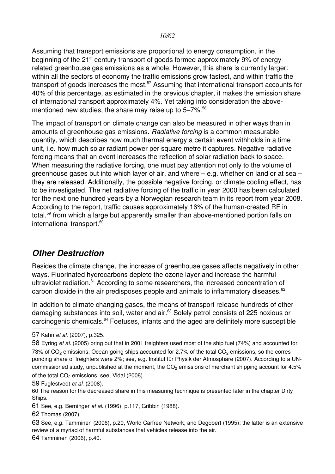Assuming that transport emissions are proportional to energy consumption, in the beginning of the 21<sup>st</sup> century transport of goods formed approximately 9% of energyrelated greenhouse gas emissions as a whole. However, this share is currently larger: within all the sectors of economy the traffic emissions grow fastest, and within traffic the transport of goods increases the most.<sup>[57](#page-9-1)</sup> Assuming that international transport accounts for 40% of this percentage, as estimated in the previous chapter, it makes the emission share of international transport approximately 4%. Yet taking into consideration the abovementioned new studies, the share may raise up to  $5-7\%$ .<sup>[58](#page-9-2)</sup>

The impact of transport on climate change can also be measured in other ways than in amounts of greenhouse gas emissions. *Radiative forcing* is a common measurable quantity, which describes how much thermal energy a certain event withholds in a time unit, i.e. how much solar radiant power per square metre it captures. Negative radiative forcing means that an event increases the reflection of solar radiation back to space. When measuring the radiative forcing, one must pay attention not only to the volume of greenhouse gases but into which layer of air, and where – e.g. whether on land or at sea – they are released. Additionally, the possible negative forcing, or climate cooling effect, has to be investigated. The net radiative forcing of the traffic in year 2000 has been calculated for the next one hundred years by a Norwegian research team in its report from year 2008. According to the report, traffic causes approximately 16% of the human-created RF in total,<sup>[59](#page-9-3)</sup> from which a large but apparently smaller than above-mentioned portion falls on international transport.<sup>[60](#page-9-4)</sup>

### <span id="page-9-0"></span>*Other Destruction*

Besides the climate change, the increase of greenhouse gases affects negatively in other ways. Fluorinated hydrocarbons deplete the ozone layer and increase the harmful ultraviolet radiation.<sup>[61](#page-9-5)</sup> According to some researchers, the increased concentration of carbon dioxide in the air predisposes people and animals to inflammatory diseases. $62$ 

In addition to climate changing gases, the means of transport release hundreds of other damaging substances into soil, water and air.<sup>[63](#page-9-7)</sup> Solely petrol consists of 225 noxious or carcinogenic chemicals.<sup>[64](#page-9-8)</sup> Foetuses, infants and the aged are definitely more susceptible

<span id="page-9-6"></span>62 Thomas (2007).

<span id="page-9-8"></span>64 Tamminen (2006), p.40.

<span id="page-9-1"></span><sup>57</sup> Kahn *et al.* (2007), p.325.

<span id="page-9-2"></span><sup>58</sup> Eyring *et al.* (2005) bring out that in 2001 freighters used most of the ship fuel (74%) and accounted for 73% of  $CO<sub>2</sub>$  emissions. Ocean-going ships accounted for 2.7% of the total  $CO<sub>2</sub>$  emissions, so the corresponding share of freighters were 2%; see, e.g. Institut für Physik der Atmosphäre (2007). According to a UNcommissioned study, unpublished at the moment, the  $CO<sub>2</sub>$  emissions of merchant shipping account for 4.5% of the total  $CO<sub>2</sub>$  emissions; see, Vidal (2008).

<span id="page-9-3"></span><sup>59</sup> Fuglestvedt *et al.* (2008).

<span id="page-9-4"></span><sup>60</sup> The reason for the decreased share in this measuring technique is presented later in the chapter Dirty Ships.

<span id="page-9-5"></span><sup>61</sup> See, e.g. Berninger *et al.* (1996), p.117, Gribbin (1988).

<span id="page-9-7"></span><sup>63</sup> See, e.g. Tamminen (2006), p.20, World Carfree Network, and Degobert (1995); the latter is an extensive review of a myriad of harmful substances that vehicles release into the air.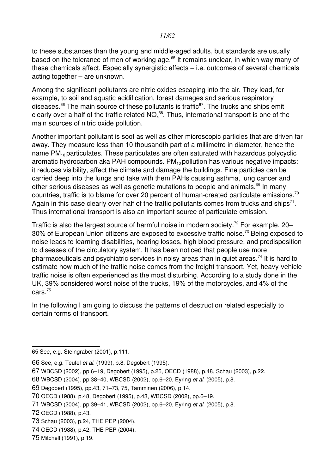to these substances than the young and middle-aged adults, but standards are usually based on the tolerance of men of working age.<sup>[65](#page-10-0)</sup> It remains unclear, in which way many of these chemicals affect. Especially synergistic effects – i.e. outcomes of several chemicals acting together – are unknown.

Among the significant pollutants are nitric oxides escaping into the air. They lead, for example, to soil and aquatic acidification, forest damages and serious respiratory diseases.<sup>[66](#page-10-1)</sup> The main source of these pollutants is traffic<sup>[67](#page-10-2)</sup>. The trucks and ships emit clearly over a half of the traffic related  $\mathsf{NO}^\mathsf{.68}_\mathsf{x}.$  $\mathsf{NO}^\mathsf{.68}_\mathsf{x}.$  $\mathsf{NO}^\mathsf{.68}_\mathsf{x}.$  Thus, international transport is one of the main sources of nitric oxide pollution.

Another important pollutant is soot as well as other microscopic particles that are driven far away. They measure less than 10 thousandth part of a millimetre in diameter, hence the name  $PM_{10}$  particulates. These particulates are often saturated with hazardous polycyclic aromatic hydrocarbon aka PAH compounds.  $PM_{10}$  pollution has various negative impacts: it reduces visibility, affect the climate and damage the buildings. Fine particles can be carried deep into the lungs and take with them PAHs causing asthma, lung cancer and other serious diseases as well as genetic mutations to people and animals.<sup>[69](#page-10-4)</sup> In manv countries, traffic is to blame for over 20 percent of human-created particulate emissions.<sup>[70](#page-10-5)</sup> Again in this case clearly over half of the traffic pollutants comes from trucks and ships<sup>[71](#page-10-6)</sup>. Thus international transport is also an important source of particulate emission.

Traffic is also the largest source of harmful noise in modern society.<sup>[72](#page-10-7)</sup> For example, 20– 30% of European Union citizens are exposed to excessive traffic noise.<sup>[73](#page-10-8)</sup> Being exposed to noise leads to learning disabilities, hearing losses, high blood pressure, and predisposition to diseases of the circulatory system. It has been noticed that people use more pharmaceuticals and psychiatric services in noisy areas than in quiet areas.<sup>[74](#page-10-9)</sup> It is hard to estimate how much of the traffic noise comes from the freight transport. Yet, heavy-vehicle traffic noise is often experienced as the most disturbing. According to a study done in the UK, 39% considered worst noise of the trucks, 19% of the motorcycles, and 4% of the cars.[75](#page-10-10)

In the following I am going to discuss the patterns of destruction related especially to certain forms of transport.

<span id="page-10-3"></span>68 WBCSD (2004), pp.38–40, WBCSD (2002), pp.6–20, Eyring *et al.* (2005), p.8.

<span id="page-10-6"></span>71 WBCSD (2004), pp.39–41, WBCSD (2002), pp.6–20, Eyring *et al.* (2005), p.8.

- <span id="page-10-8"></span>73 Schau (2003), p.24, THE PEP (2004).
- <span id="page-10-9"></span>74 OECD (1988), p.42, THE PEP (2004).
- <span id="page-10-10"></span>75 Mitchell (1991), p.19.

<span id="page-10-0"></span><sup>65</sup> See, e.g. Steingraber (2001), p.111.

<span id="page-10-1"></span><sup>66</sup> See, e.g. Teufel *et al.* (1999), p.8, Degobert (1995).

<span id="page-10-2"></span><sup>67</sup> WBCSD (2002), pp.6–19, Degobert (1995), p.25, OECD (1988), p.48, Schau (2003), p.22.

<span id="page-10-4"></span><sup>69</sup> Degobert (1995), pp.43, 71–73, 75, Tamminen (2006), p.14.

<span id="page-10-5"></span><sup>70</sup> OECD (1988), p.48, Degobert (1995), p.43, WBCSD (2002), pp.6–19.

<span id="page-10-7"></span><sup>72</sup> OECD (1988), p.43.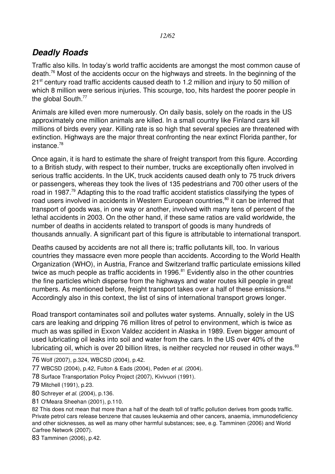# <span id="page-11-0"></span>*Deadly Roads*

Traffic also kills. In today's world traffic accidents are amongst the most common cause of death.<sup>[76](#page-11-1)</sup> Most of the accidents occur on the highways and streets. In the beginning of the 21<sup>st</sup> century road traffic accidents caused death to 1.2 million and injury to 50 million of which 8 million were serious injuries. This scourge, too, hits hardest the poorer people in the global South.<sup>[77](#page-11-2)</sup>

Animals are killed even more numerously. On daily basis, solely on the roads in the US approximately one million animals are killed. In a small country like Finland cars kill millions of birds every year. Killing rate is so high that several species are threatened with extinction. Highways are the major threat confronting the near extinct Florida panther, for instance.[78](#page-11-3)

Once again, it is hard to estimate the share of freight transport from this figure. According to a British study, with respect to their number, trucks are exceptionally often involved in serious traffic accidents. In the UK, truck accidents caused death only to 75 truck drivers or passengers, whereas they took the lives of 135 pedestrians and 700 other users of the road in 1987.<sup>[79](#page-11-4)</sup> Adapting this to the road traffic accident statistics classifying the types of road users involved in accidents in Western European countries, [80](#page-11-5) it can be inferred that transport of goods was, in one way or another, involved with many tens of percent of the lethal accidents in 2003. On the other hand, if these same ratios are valid worldwide, the number of deaths in accidents related to transport of goods is many hundreds of thousands annually. A significant part of this figure is attributable to international transport.

Deaths caused by accidents are not all there is; traffic pollutants kill, too. In various countries they massacre even more people than accidents. According to the World Health Organization (WHO), in Austria, France and Switzerland traffic particulate emissions killed twice as much people as traffic accidents in 1996. $81$  Evidently also in the other countries the fine particles which disperse from the highways and water routes kill people in great numbers. As mentioned before, freight transport takes over a half of these emissions.<sup>[82](#page-11-7)</sup> Accordingly also in this context, the list of sins of international transport grows longer.

Road transport contaminates soil and pollutes water systems. Annually, solely in the US cars are leaking and dripping 76 million litres of petrol to environment, which is twice as much as was spilled in Exxon Valdez accident in Alaska in 1989. Even bigger amount of used lubricating oil leaks into soil and water from the cars. In the US over 40% of the lubricating oil, which is over 20 billion litres, is neither recycled nor reused in other ways.<sup>[83](#page-11-8)</sup>

- <span id="page-11-1"></span>76 Wolf (2007), p.324, WBCSD (2004), p.42.
- <span id="page-11-2"></span>77 WBCSD (2004), p.42, Fulton & Eads (2004), Peden *et al.* (2004).
- <span id="page-11-3"></span>78 Surface Transportation Policy Project (2007), Kivivuori (1991).
- <span id="page-11-4"></span>79 Mitchell (1991), p.23.
- <span id="page-11-5"></span>80 Schreyer *et al.* (2004), p.136.
- <span id="page-11-6"></span>81 O'Meara Sheehan (2001), p.110.

<span id="page-11-7"></span><sup>82</sup> This does not mean that more than a half of the death toll of traffic pollution derives from goods traffic. Private petrol cars release benzene that causes leukaemia and other cancers, anaemia, immunodeficiency and other sicknesses, as well as many other harmful substances; see, e.g. Tamminen (2006) and World Carfree Network (2007).

<span id="page-11-8"></span><sup>83</sup> Tamminen (2006), p.42.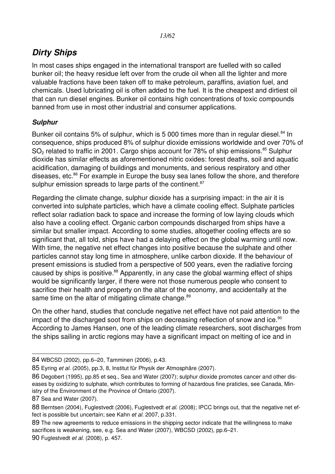# <span id="page-12-1"></span>*Dirty Ships*

In most cases ships engaged in the international transport are fuelled with so called bunker oil; the heavy residue left over from the crude oil when all the lighter and more valuable fractions have been taken off to make petroleum, paraffins, aviation fuel, and chemicals. Used lubricating oil is often added to the fuel. It is the cheapest and dirtiest oil that can run diesel engines. Bunker oil contains high concentrations of toxic compounds banned from use in most other industrial and consumer applications.

#### <span id="page-12-0"></span>*Sulphur*

Bunker oil contains 5% of sulphur, which is 5 000 times more than in regular diesel.<sup>[84](#page-12-2)</sup> In consequence, ships produced 8% of sulphur dioxide emissions worldwide and over 70% of SO<sub>2</sub> related to traffic in 2001. Cargo ships account for 78% of ship emissions.<sup>[85](#page-12-3)</sup> Sulphur dioxide has similar effects as aforementioned nitric oxides: forest deaths, soil and aquatic acidification, damaging of buildings and monuments, and serious respiratory and other diseases, etc.<sup>[86](#page-12-4)</sup> For example in Europe the busy sea lanes follow the shore, and therefore sulphur emission spreads to large parts of the continent.<sup>[87](#page-12-5)</sup>

Regarding the climate change, sulphur dioxide has a surprising impact: in the air it is converted into sulphate particles, which have a climate cooling effect. Sulphate particles reflect solar radiation back to space and increase the forming of low laying clouds which also have a cooling effect. Organic carbon compounds discharged from ships have a similar but smaller impact. According to some studies, altogether cooling effects are so significant that, all told, ships have had a delaying effect on the global warming until now. With time, the negative net effect changes into positive because the sulphate and other particles cannot stay long time in atmosphere, unlike carbon dioxide. If the behaviour of present emissions is studied from a perspective of 500 years, even the radiative forcing caused by ships is positive.<sup>[88](#page-12-6)</sup> Apparently, in any case the global warming effect of ships would be significantly larger, if there were not those numerous people who consent to sacrifice their health and property on the altar of the economy, and accidentally at the same time on the altar of mitigating climate change.<sup>[89](#page-12-7)</sup>

On the other hand, studies that conclude negative net effect have not paid attention to the impact of the discharged soot from ships on decreasing reflection of snow and ice.<sup>[90](#page-12-8)</sup> According to James Hansen, one of the leading climate researchers, soot discharges from the ships sailing in arctic regions may have a significant impact on melting of ice and in

<span id="page-12-2"></span><sup>84</sup> WBCSD (2002), pp.6–20, Tamminen (2006), p.43.

<span id="page-12-3"></span><sup>85</sup> Eyring *et al.* (2005), pp.3, 8, Institut für Physik der Atmosphäre (2007).

<span id="page-12-4"></span><sup>86</sup> Degobert (1995), pp.85 et seq., Sea and Water (2007); sulphur dioxide promotes cancer and other diseases by oxidizing to sulphate, which contributes to forming of hazardous fine praticles, see Canada, Ministry of the Environment of the Province of Ontario (2007).

<span id="page-12-5"></span><sup>87</sup> Sea and Water (2007).

<span id="page-12-6"></span><sup>88</sup> Berntsen (2004), Fuglestvedt (2006), Fuglestvedt *et al.* (2008); IPCC brings out, that the negative net effect is possible but uncertain; see Kahn *et al.* 2007, p.331.

<span id="page-12-7"></span><sup>89</sup> The new agreements to reduce emissions in the shipping sector indicate that the willingness to make sacrifices is weakening, see, e.g. Sea and Water (2007), WBCSD (2002), pp.6–21.

<span id="page-12-8"></span><sup>90</sup> Fuglestvedt *et al.* (2008), p. 457.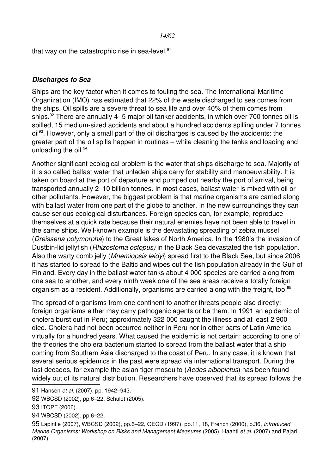that way on the catastrophic rise in sea-level. $91$ 

#### <span id="page-13-0"></span>*Discharges to Sea*

Ships are the key factor when it comes to fouling the sea. The International Maritime Organization (IMO) has estimated that 22% of the waste discharged to sea comes from the ships. Oil spills are a severe threat to sea life and over 40% of them comes from ships.<sup>[92](#page-13-2)</sup> There are annually 4-5 major oil tanker accidents, in which over 700 tonnes oil is spilled, 15 medium-sized accidents and about a hundred accidents spilling under 7 tonnes oil<sup>[93](#page-13-3)</sup>. However, only a small part of the oil discharges is caused by the accidents: the greater part of the oil spills happen in routines – while cleaning the tanks and loading and unloading the oil. $94$ 

Another significant ecological problem is the water that ships discharge to sea. Majority of it is so called ballast water that unladen ships carry for stability and manoeuvrability. It is taken on board at the port of departure and pumped out nearby the port of arrival, being transported annually 2–10 billion tonnes. In most cases, ballast water is mixed with oil or other pollutants. However, the biggest problem is that marine organisms are carried along with ballast water from one part of the globe to another. In the new surroundings they can cause serious ecological disturbances. Foreign species can, for example, reproduce themselves at a quick rate because their natural enemies have not been able to travel in the same ships. Well-known example is the devastating spreading of zebra mussel (*Dreissena polymorpha*) to the Great lakes of North America. In the 1980's the invasion of Dustbin-lid jellyfish (*Rhizostoma octopus*) in the Black Sea devastated the fish population. Also the warty comb jelly (*Mnemiopsis leidyi*) spread first to the Black Sea, but since 2006 it has started to spread to the Baltic and wipes out the fish population already in the Gulf of Finland. Every day in the ballast water tanks about 4 000 species are carried along from one sea to another, and every ninth week one of the sea areas receive a totally foreign organism as a resident. Additionally, organisms are carried along with the freight, too.<sup>[95](#page-13-5)</sup>

The spread of organisms from one continent to another threats people also directly: foreign organisms either may carry pathogenic agents or be them. In 1991 an epidemic of cholera burst out in Peru; approximately 322 000 caught the illness and at least 2 900 died. Cholera had not been occurred neither in Peru nor in other parts of Latin America virtually for a hundred years. What caused the epidemic is not certain: according to one of the theories the cholera bacterium started to spread from the ballast water that a ship coming from Southern Asia discharged to the coast of Peru. In any case, it is known that several serious epidemics in the past were spread via international transport. During the last decades, for example the asian tiger mosquito (*Aedes albopictus*) has been found widely out of its natural distribution. Researchers have observed that its spread follows the

<span id="page-13-2"></span>92 WBCSD (2002), pp.6–22, Schuldt (2005).

<span id="page-13-4"></span>94 WBCSD (2002), pp.6–22.

<span id="page-13-5"></span>95 Lapintie (2007), WBCSD (2002), pp.6–22, OECD (1997), pp.11, 18, French (2000), p.36, *Introduced Marine Organisms: Workshop on Risks and Management Measures* (2005), Haahti *et al.* (2007) and Pajari (2007).

<span id="page-13-1"></span><sup>91</sup> Hansen *et al.* (2007), pp. 1942–943.

<span id="page-13-3"></span><sup>93</sup> ITOPF (2006).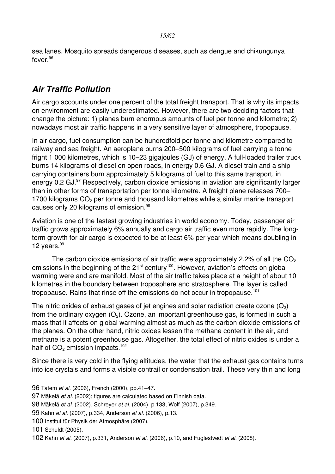sea lanes. Mosquito spreads dangerous diseases, such as dengue and chikungunya fever. [96](#page-14-1)

# <span id="page-14-0"></span>*Air Traffic Pollution*

Air cargo accounts under one percent of the total freight transport. That is why its impacts on environment are easily underestimated. However, there are two deciding factors that change the picture: 1) planes burn enormous amounts of fuel per tonne and kilometre; 2) nowadays most air traffic happens in a very sensitive layer of atmosphere, tropopause.

In air cargo, fuel consumption can be hundredfold per tonne and kilometre compared to railway and sea freight. An aeroplane burns 200–500 kilograms of fuel carrying a tonne fright 1 000 kilometres, which is 10–23 gigajoules (GJ) of energy. A full-loaded trailer truck burns 14 kilograms of diesel on open roads, in energy 0.6 GJ. A diesel train and a ship carrying containers burn approximately 5 kilograms of fuel to this same transport, in energy 0.2 GJ.<sup>[97](#page-14-2)</sup> Respectively, carbon dioxide emissions in aviation are significantly larger than in other forms of transportation per tonne kilometre. A freight plane releases 700– 1700 kilograms CO<sub>2</sub> per tonne and thousand kilometres while a similar marine transport causes only 20 kilograms of emission.<sup>[98](#page-14-3)</sup>

Aviation is one of the fastest growing industries in world economy. Today, passenger air traffic grows approximately 6% annually and cargo air traffic even more rapidly. The longterm growth for air cargo is expected to be at least 6% per year which means doubling in 12 years.<sup>[99](#page-14-4)</sup>

The carbon dioxide emissions of air traffic were approximately 2.2% of all the  $CO<sub>2</sub>$ emissions in the beginning of the  $21<sup>st</sup>$  century<sup>[100](#page-14-5)</sup>. However, aviation's effects on global warming were and are manifold. Most of the air traffic takes place at a height of about 10 kilometres in the boundary between troposphere and stratosphere. The layer is called tropopause. Rains that rinse off the emissions do not occur in tropopause. $^{101}$  $^{101}$  $^{101}$ 

The nitric oxides of exhaust gases of jet engines and solar radiation create ozone  $(O_3)$ from the ordinary oxygen  $(O_2)$ . Ozone, an important greenhouse gas, is formed in such a mass that it affects on global warming almost as much as the carbon dioxide emissions of the planes. On the other hand, nitric oxides lessen the methane content in the air, and methane is a potent greenhouse gas. Altogether, the total effect of nitric oxides is under a half of  $CO<sub>2</sub>$  emission impacts.<sup>[102](#page-14-7)</sup>

Since there is very cold in the flying altitudes, the water that the exhaust gas contains turns into ice crystals and forms a visible contrail or condensation trail. These very thin and long

<span id="page-14-1"></span><sup>96</sup> Tatem *et al.* (2006), French (2000), pp.41–47.

<span id="page-14-2"></span><sup>97</sup> Mäkelä *et al.* (2002); figures are calculated based on Finnish data.

<span id="page-14-3"></span><sup>98</sup> Mäkelä *et al.* (2002), Schreyer *et al.* (2004), p.133, Wolf (2007), p.349.

<span id="page-14-4"></span><sup>99</sup> Kahn *et al.* (2007), p.334, Anderson *et al.* (2006), p.13.

<span id="page-14-5"></span><sup>100</sup> Institut für Physik der Atmosphäre (2007).

<span id="page-14-6"></span><sup>101</sup> Schuldt (2005).

<span id="page-14-7"></span><sup>102</sup> Kahn *et al.* (2007), p.331, Anderson *et al.* (2006), p.10, and Fuglestvedt *et al.* (2008).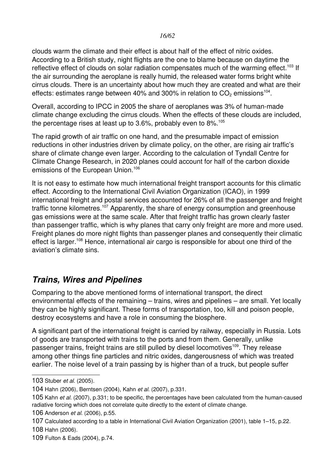clouds warm the climate and their effect is about half of the effect of nitric oxides. According to a British study, night flights are the one to blame because on daytime the reflective effect of clouds on solar radiation compensates much of the warming effect.<sup>[103](#page-15-1)</sup> If the air surrounding the aeroplane is really humid, the released water forms bright white cirrus clouds. There is an uncertainty about how much they are created and what are their effects: estimates range between 40% and 300% in relation to  $CO<sub>2</sub>$  emissions<sup>[104](#page-15-2)</sup>.

Overall, according to IPCC in 2005 the share of aeroplanes was 3% of human-made climate change excluding the cirrus clouds. When the effects of these clouds are included, the percentage rises at least up to  $3.6\%$ , probably even to  $8\%$ .<sup>[105](#page-15-3)</sup>

The rapid growth of air traffic on one hand, and the presumable impact of emission reductions in other industries driven by climate policy, on the other, are rising air traffic's share of climate change even larger. According to the calculation of Tyndall Centre for Climate Change Research, in 2020 planes could account for half of the carbon dioxide emissions of the European Union.<sup>[106](#page-15-4)</sup>

It is not easy to estimate how much international freight transport accounts for this climatic effect. According to the International Civil Aviation Organization (ICAO), in 1999 international freight and postal services accounted for 26% of all the passenger and freight traffic tonne kilometres.<sup>[107](#page-15-5)</sup> Apparently, the share of energy consumption and greenhouse gas emissions were at the same scale. After that freight traffic has grown clearly faster than passenger traffic, which is why planes that carry only freight are more and more used. Freight planes do more night flights than passenger planes and consequently their climatic effect is larger.<sup>[108](#page-15-6)</sup> Hence, international air cargo is responsible for about one third of the aviation's climate sins.

# <span id="page-15-0"></span>*Trains, Wires and Pipelines*

Comparing to the above mentioned forms of international transport, the direct environmental effects of the remaining – trains, wires and pipelines – are small. Yet locally they can be highly significant. These forms of transportation, too, kill and poison people, destroy ecosystems and have a role in consuming the biosphere.

A significant part of the international freight is carried by railway, especially in Russia. Lots of goods are transported with trains to the ports and from them. Generally, unlike passenger trains, freight trains are still pulled by diesel locomotives<sup>[109](#page-15-7)</sup>. They release among other things fine particles and nitric oxides, dangerousness of which was treated earlier. The noise level of a train passing by is higher than of a truck, but people suffer

<span id="page-15-1"></span><sup>103</sup> Stuber *et al*. (2005).

<span id="page-15-2"></span><sup>104</sup> Hahn (2006), Berntsen (2004), Kahn *et al.* (2007), p.331.

<span id="page-15-3"></span><sup>105</sup> Kahn *et al.* (2007), p.331; to be specific, the percentages have been calculated from the humancaused radiative forcing which does not correlate quite directly to the extent of climate change.

<span id="page-15-4"></span><sup>106</sup> Anderson *et al.* (2006), p.55.

<span id="page-15-6"></span><span id="page-15-5"></span><sup>107</sup> Calculated according to a table in International Civil Aviation Organization (2001), table 1–15, p.22. 108 Hahn (2006).

<span id="page-15-7"></span><sup>109</sup> Fulton & Eads (2004), p.74.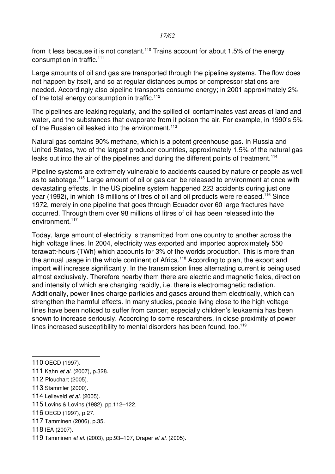#### *17/62*

from it less because it is not constant.<sup>[110](#page-16-0)</sup> Trains account for about 1.5% of the energy consumption in traffic.<sup>[111](#page-16-1)</sup>

Large amounts of oil and gas are transported through the pipeline systems. The flow does not happen by itself, and so at regular distances pumps or compressor stations are needed. Accordingly also pipeline transports consume energy; in 2001 approximately 2% of the total energy consumption in traffic.<sup>[112](#page-16-2)</sup>

The pipelines are leaking regularly, and the spilled oil contaminates vast areas of land and water, and the substances that evaporate from it poison the air. For example, in 1990's 5% of the Russian oil leaked into the environment.<sup>[113](#page-16-3)</sup>

Natural gas contains 90% methane, which is a potent greenhouse gas. In Russia and United States, two of the largest producer countries, approximately 1.5% of the natural gas leaks out into the air of the pipelines and during the different points of treatment.<sup>[114](#page-16-4)</sup>

Pipeline systems are extremely vulnerable to accidents caused by nature or people as well as to sabotage.[115](#page-16-5) Large amount of oil or gas can be released to environment at once with devastating effects. In the US pipeline system happened 223 accidents during just one year (1992), in which 18 millions of litres of oil and oil products were released.<sup>[116](#page-16-6)</sup> Since 1972, merely in one pipeline that goes through Ecuador over 60 large fractures have occurred. Through them over 98 millions of litres of oil has been released into the environment.<sup>[117](#page-16-7)</sup>

Today, large amount of electricity is transmitted from one country to another across the high voltage lines. In 2004, electricity was exported and imported approximately 550 terawatt-hours (TWh) which accounts for 3% of the worlds production. This is more than the annual usage in the whole continent of Africa.<sup>[118](#page-16-8)</sup> According to plan, the export and import will increase significantly. In the transmission lines alternating current is being used almost exclusively. Therefore nearby them there are electric and magnetic fields, direction and intensity of which are changing rapidly, i.e. there is electromagnetic radiation. Additionally, power lines charge particles and gases around them electrically, which can strengthen the harmful effects. In many studies, people living close to the high voltage lines have been noticed to suffer from cancer; especially children's leukaemia has been shown to increase seriously. According to some researchers, in close proximity of power lines increased susceptibility to mental disorders has been found, too. $119$ 

- <span id="page-16-4"></span>114 Lelieveld *et al.* (2005).
- <span id="page-16-5"></span>115 Lovins & Lovins (1982), pp.112–122.
- <span id="page-16-6"></span>116 OECD (1997), p.27.
- <span id="page-16-7"></span>117 Tamminen (2006), p.35.
- <span id="page-16-8"></span>118 IEA (2007).
- <span id="page-16-9"></span>119 Tamminen *et al.* (2003), pp.93–107, Draper *et al.* (2005).

<span id="page-16-0"></span><sup>110</sup> OECD (1997).

<span id="page-16-1"></span><sup>111</sup> Kahn *et al.* (2007), p.328.

<span id="page-16-2"></span><sup>112</sup> Plouchart (2005).

<span id="page-16-3"></span><sup>113</sup> Stammler (2000).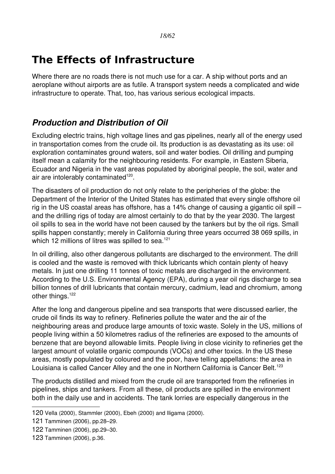# <span id="page-17-1"></span>**The Effects of Infrastructure**

Where there are no roads there is not much use for a car. A ship without ports and an aeroplane without airports are as futile. A transport system needs a complicated and wide infrastructure to operate. That, too, has various serious ecological impacts.

# <span id="page-17-0"></span>*Production and Distribution of Oil*

Excluding electric trains, high voltage lines and gas pipelines, nearly all of the energy used in transportation comes from the crude oil. Its production is as devastating as its use: oil exploration contaminates ground waters, soil and water bodies. Oil drilling and pumping itself mean a calamity for the neighbouring residents. For example, in Eastern Siberia, Ecuador and Nigeria in the vast areas populated by aboriginal people, the soil, water and air are intolerably contaminated<sup>[120](#page-17-2)</sup>.

The disasters of oil production do not only relate to the peripheries of the globe: the Department of the Interior of the United States has estimated that every single offshore oil rig in the US coastal areas has offshore, has a 14% change of causing a gigantic oil spill – and the drilling rigs of today are almost certainly to do that by the year 2030. The largest oil spills to sea in the world have not been caused by the tankers but by the oil rigs. Small spills happen constantly; merely in California during three years occurred 38 069 spills, in which 12 millions of litres was spilled to sea.<sup>[121](#page-17-3)</sup>

In oil drilling, also other dangerous pollutants are discharged to the environment. The drill is cooled and the waste is removed with thick lubricants which contain plenty of heavy metals. In just one drilling 11 tonnes of toxic metals are discharged in the environment. According to the U.S. Environmental Agency (EPA), during a year oil rigs discharge to sea billion tonnes of drill lubricants that contain mercury, cadmium, lead and chromium, among other things.<sup>[122](#page-17-4)</sup>

After the long and dangerous pipeline and sea transports that were discussed earlier, the crude oil finds its way to refinery. Refineries pollute the water and the air of the neighbouring areas and produce large amounts of toxic waste. Solely in the US, millions of people living within a 50 kilometres radius of the refineries are exposed to the amounts of benzene that are beyond allowable limits. People living in close vicinity to refineries get the largest amount of volatile organic compounds (VOCs) and other toxics. In the US these areas, mostly populated by coloured and the poor, have telling appellations: the area in Louisiana is called Cancer Alley and the one in Northern California is Cancer Belt.<sup>[123](#page-17-5)</sup>

The products distilled and mixed from the crude oil are transported from the refineries in pipelines, ships and tankers. From all these, oil products are spilled in the environment both in the daily use and in accidents. The tank lorries are especially dangerous in the

<span id="page-17-2"></span><sup>120</sup> Vella (2000), Stammler (2000), Ebeh (2000) and Iligama (2000).

<span id="page-17-3"></span><sup>121</sup> Tamminen (2006), pp.28–29.

<span id="page-17-4"></span><sup>122</sup> Tamminen (2006), pp.29–30.

<span id="page-17-5"></span><sup>123</sup> Tamminen (2006), p.36.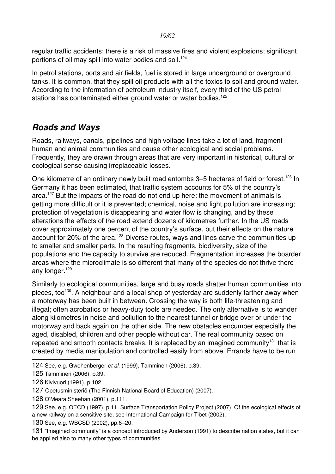regular traffic accidents; there is a risk of massive fires and violent explosions; significant portions of oil may spill into water bodies and soil.<sup>[124](#page-18-1)</sup>

In petrol stations, ports and air fields, fuel is stored in large underground or overground tanks. It is common, that they spill oil products with all the toxics to soil and ground water. According to the information of petroleum industry itself, every third of the US petrol stations has contaminated either ground water or water bodies.<sup>[125](#page-18-2)</sup>

# <span id="page-18-0"></span>*Roads and Ways*

Roads, railways, canals, pipelines and high voltage lines take a lot of land, fragment human and animal communities and cause other ecological and social problems. Frequently, they are drawn through areas that are very important in historical, cultural or ecological sense causing irreplaceable losses.

One kilometre of an ordinary newly built road entombs 3–5 hectares of field or forest.<sup>[126](#page-18-3)</sup> In Germany it has been estimated, that traffic system accounts for 5% of the country's area.<sup>[127](#page-18-4)</sup> But the impacts of the road do not end up here: the movement of animals is getting more difficult or it is prevented; chemical, noise and light pollution are increasing; protection of vegetation is disappearing and water flow is changing, and by these alterations the effects of the road extend dozens of kilometres further. In the US roads cover approximately one percent of the country's surface, but their effects on the nature account for 20% of the area.<sup>[128](#page-18-5)</sup> Diverse routes, ways and lines carve the communities up to smaller and smaller parts. In the resulting fragments, biodiversity, size of the populations and the capacity to survive are reduced. Fragmentation increases the boarder areas where the microclimate is so different that many of the species do not thrive there any longer.<sup>[129](#page-18-6)</sup>

Similarly to ecological communities, large and busy roads shatter human communities into pieces, too<sup>[130](#page-18-7)</sup>. A neighbour and a local shop of yesterday are suddenly farther away when a motorway has been built in between. Crossing the way is both life-threatening and illegal; often acrobatics or heavy-duty tools are needed. The only alternative is to wander along kilometres in noise and pollution to the nearest tunnel or bridge over or under the motorway and back again on the other side. The new obstacles encumber especially the aged, disabled, children and other people without car. The real community based on repeated and smooth contacts breaks. It is replaced by an imagined community<sup>[131](#page-18-8)</sup> that is created by media manipulation and controlled easily from above. Errands have to be run

<span id="page-18-5"></span>128 O'Meara Sheehan (2001), p.111.

<span id="page-18-7"></span>130 See, e.g. WBCSD (2002), pp.6–20.

<span id="page-18-8"></span>131 "Imagined community" is a concept introduced by Anderson (1991) to describe nation states, but it can be applied also to many other types of communities.

<span id="page-18-1"></span><sup>124</sup> See, e.g. Gwehenberger *et al.* (1999), Tamminen (2006), p.39.

<span id="page-18-2"></span><sup>125</sup> Tamminen (2006), p.39.

<span id="page-18-3"></span><sup>126</sup> Kivivuori (1991), p.102.

<span id="page-18-4"></span><sup>127</sup> Opetusministeriö (The Finnish National Board of Education) (2007).

<span id="page-18-6"></span><sup>129</sup> See, e.g. OECD (1997), p.11, Surface Transportation Policy Project (2007); Of the ecological effects of a new railway on a sensitive site, see International Campaign for Tibet (2002).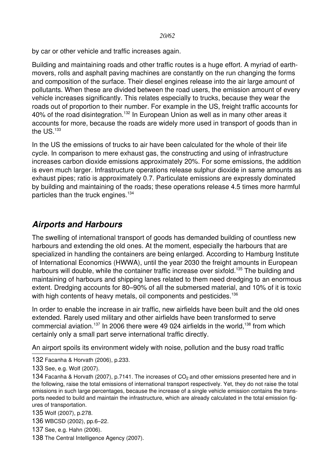by car or other vehicle and traffic increases again.

Building and maintaining roads and other traffic routes is a huge effort. A myriad of earthmovers, rolls and asphalt paving machines are constantly on the run changing the forms and composition of the surface. Their diesel engines release into the air large amount of pollutants. When these are divided between the road users, the emission amount of every vehicle increases significantly. This relates especially to trucks, because they wear the roads out of proportion to their number. For example in the US, freight traffic accounts for 40% of the road disintegration.<sup>[132](#page-19-1)</sup> In European Union as well as in many other areas it accounts for more, because the roads are widely more used in transport of goods than in the  $\text{US}$ <sup>[133](#page-19-2)</sup>

In the US the emissions of trucks to air have been calculated for the whole of their life cycle. In comparison to mere exhaust gas, the constructing and using of infrastructure increases carbon dioxide emissions approximately 20%. For some emissions, the addition is even much larger. Infrastructure operations release sulphur dioxide in same amounts as exhaust pipes; ratio is approximately 0.7. Particulate emissions are expressly dominated by building and maintaining of the roads; these operations release 4.5 times more harmful particles than the truck engines.<sup>[134](#page-19-3)</sup>

# <span id="page-19-0"></span>*Airports and Harbours*

The swelling of international transport of goods has demanded building of countless new harbours and extending the old ones. At the moment, especially the harbours that are specialized in handling the containers are being enlarged. According to Hamburg Institute of International Economics (HWWA), until the year 2030 the freight amounts in European harbours will double, while the container traffic increase over sixfold.<sup>[135](#page-19-4)</sup> The building and maintaining of harbours and shipping lanes related to them need dredging to an enormous extent. Dredging accounts for 80–90% of all the submersed material, and 10% of it is toxic with high contents of heavy metals, oil components and pesticides.<sup>[136](#page-19-5)</sup>

In order to enable the increase in air traffic, new airfields have been built and the old ones extended. Rarely used military and other airfields have been transformed to serve commercial aviation.<sup>[137](#page-19-6)</sup> In 2006 there were 49 024 airfields in the world,<sup>[138](#page-19-7)</sup> from which certainly only a small part serve international traffic directly.

An airport spoils its environment widely with noise, pollution and the busy road traffic

- <span id="page-19-1"></span>132 Facanha & Horvath (2006), p.233.
- <span id="page-19-2"></span>133 See, e.g. Wolf (2007).

<span id="page-19-3"></span>134 Facanha & Horvath (2007), p.7141. The increases of  $CO<sub>2</sub>$  and other emissions presented here and in the following, raise the total emissions of international transport respectively. Yet, they do not raise the total emissions in such large percentages, because the increase of a single vehicle emission contains the transports needed to build and maintain the infrastructure, which are already calculated in the total emission figures of transportation.

- <span id="page-19-4"></span>135 Wolf (2007), p.278.
- <span id="page-19-5"></span>136 WBCSD (2002), pp.6–22.
- <span id="page-19-6"></span>137 See, e.g. Hahn (2006).
- <span id="page-19-7"></span>138 The Central Intelligence Agency (2007).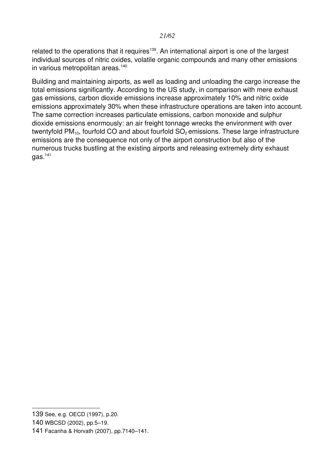related to the operations that it requires<sup>[139](#page-20-0)</sup>. An international airport is one of the largest individual sources of nitric oxides, volatile organic compounds and many other emissions in various metropolitan areas.<sup>[140](#page-20-1)</sup>

Building and maintaining airports, as well as loading and unloading the cargo increase the total emissions significantly. According to the US study, in comparison with mere exhaust gas emissions, carbon dioxide emissions increase approximately 10% and nitric oxide emissions approximately 30% when these infrastructure operations are taken into account. The same correction increases particulate emissions, carbon monoxide and sulphur dioxide emissions enormously: an air freight tonnage wrecks the environment with over twentyfold  $PM_{10}$ , fourfold CO and about fourfold  $SO_2$  emissions. These large infrastructure emissions are the consequence not only of the airport construction but also of the numerous trucks bustling at the existing airports and releasing extremely dirty exhaust  $gas.<sup>141</sup>$  $gas.<sup>141</sup>$  $gas.<sup>141</sup>$ 

<span id="page-20-0"></span><sup>139</sup> See, e.g. OECD (1997), p.20.

<span id="page-20-1"></span><sup>140</sup> WBCSD (2002), pp.5–19.

<span id="page-20-2"></span><sup>141</sup> Facanha & Horvath (2007), pp.7140–141.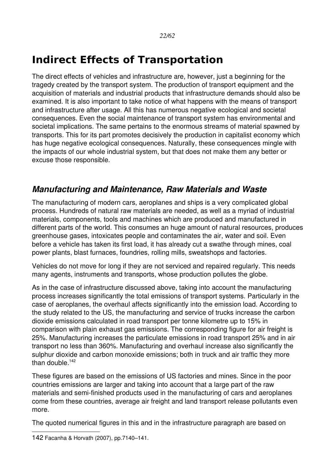# <span id="page-21-1"></span>**Indirect Effects of Transportation**

The direct effects of vehicles and infrastructure are, however, just a beginning for the tragedy created by the transport system. The production of transport equipment and the acquisition of materials and industrial products that infrastructure demands should also be examined. It is also important to take notice of what happens with the means of transport and infrastructure after usage. All this has numerous negative ecological and societal consequences. Even the social maintenance of transport system has environmental and societal implications. The same pertains to the enormous streams of material spawned by transports. This for its part promotes decisively the production in capitalist economy which has huge negative ecological consequences. Naturally, these consequences mingle with the impacts of our whole industrial system, but that does not make them any better or excuse those responsible.

### <span id="page-21-0"></span>*Manufacturing and Maintenance, Raw Materials and Waste*

The manufacturing of modern cars, aeroplanes and ships is a very complicated global process. Hundreds of natural raw materials are needed, as well as a myriad of industrial materials, components, tools and machines which are produced and manufactured in different parts of the world. This consumes an huge amount of natural resources, produces greenhouse gases, intoxicates people and contaminates the air, water and soil. Even before a vehicle has taken its first load, it has already cut a swathe through mines, coal power plants, blast furnaces, foundries, rolling mills, sweatshops and factories.

Vehicles do not move for long if they are not serviced and repaired regularly. This needs many agents, instruments and transports, whose production pollutes the globe.

As in the case of infrastructure discussed above, taking into account the manufacturing process increases significantly the total emissions of transport systems. Particularly in the case of aeroplanes, the overhaul affects significantly into the emission load. According to the study related to the US, the manufacturing and service of trucks increase the carbon dioxide emissions calculated in road transport per tonne kilometre up to 15% in comparison with plain exhaust gas emissions. The corresponding figure for air freight is 25%. Manufacturing increases the particulate emissions in road transport 25% and in air transport no less than 360%. Manufacturing and overhaul increase also significantly the sulphur dioxide and carbon monoxide emissions; both in truck and air traffic they more than double.[142](#page-21-2)

These figures are based on the emissions of US factories and mines. Since in the poor countries emissions are larger and taking into account that a large part of the raw materials and semi-finished products used in the manufacturing of cars and aeroplanes come from these countries, average air freight and land transport release pollutants even more.

The quoted numerical figures in this and in the infrastructure paragraph are based on

<span id="page-21-2"></span><sup>142</sup> Facanha & Horvath (2007), pp.7140–141.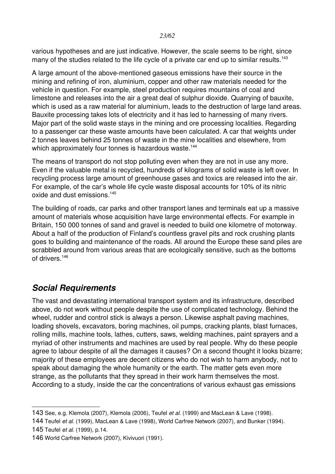various hypotheses and are just indicative. However, the scale seems to be right, since many of the studies related to the life cycle of a private car end up to similar results.<sup>[143](#page-22-1)</sup>

A large amount of the above-mentioned gaseous emissions have their source in the mining and refining of iron, aluminium, copper and other raw materials needed for the vehicle in question. For example, steel production requires mountains of coal and limestone and releases into the air a great deal of sulphur dioxide. Quarrying of bauxite, which is used as a raw material for aluminium, leads to the destruction of large land areas. Bauxite processing takes lots of electricity and it has led to harnessing of many rivers. Major part of the solid waste stays in the mining and ore processing localities. Regarding to a passenger car these waste amounts have been calculated. A car that weights under 2 tonnes leaves behind 25 tonnes of waste in the mine localities and elsewhere, from which approximately four tonnes is hazardous waste.<sup>[144](#page-22-2)</sup>

The means of transport do not stop polluting even when they are not in use any more. Even if the valuable metal is recycled, hundreds of kilograms of solid waste is left over. In recycling process large amount of greenhouse gases and toxics are released into the air. For example, of the car's whole life cycle waste disposal accounts for 10% of its nitric oxide and dust emissions.<sup>[145](#page-22-3)</sup>

The building of roads, car parks and other transport lanes and terminals eat up a massive amount of materials whose acquisition have large environmental effects. For example in Britain, 150 000 tonnes of sand and gravel is needed to build one kilometre of motorway. About a half of the production of Finland's countless gravel pits and rock crushing plants goes to building and maintenance of the roads. All around the Europe these sand piles are scrabbled around from various areas that are ecologically sensitive, such as the bottoms of drivers.<sup>[146](#page-22-4)</sup>

### <span id="page-22-0"></span>*Social Requirements*

The vast and devastating international transport system and its infrastructure, described above, do not work without people despite the use of complicated technology. Behind the wheel, rudder and control stick is always a person. Likewise asphalt paving machines, loading shovels, excavators, boring machines, oil pumps, cracking plants, blast furnaces, rolling mills, machine tools, lathes, cutters, saws, welding machines, paint sprayers and a myriad of other instruments and machines are used by real people. Why do these people agree to labour despite of all the damages it causes? On a second thought it looks bizarre; majority of these employees are decent citizens who do not wish to harm anybody, not to speak about damaging the whole humanity or the earth. The matter gets even more strange, as the pollutants that they spread in their work harm themselves the most. According to a study, inside the car the concentrations of various exhaust gas emissions

<span id="page-22-1"></span><sup>143</sup> See, e.g. Klemola (2007), Klemola (2006), Teufel *et al.* (1999) and MacLean & Lave (1998).

<span id="page-22-2"></span><sup>144</sup> Teufel *et al.* (1999), MacLean & Lave (1998), World Carfree Network (2007), and Bunker (1994).

<span id="page-22-3"></span><sup>145</sup> Teufel *et al.* (1999), p.14.

<span id="page-22-4"></span><sup>146</sup> World Carfree Network (2007), Kivivuori (1991).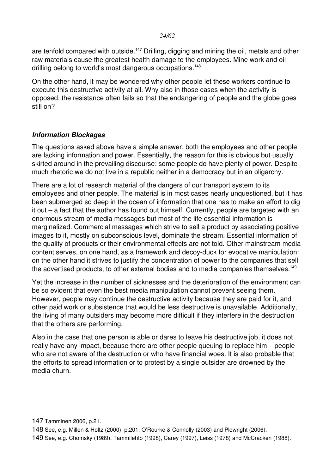are tenfold compared with outside.<sup>[147](#page-23-1)</sup> Drilling, digging and mining the oil, metals and other raw materials cause the greatest health damage to the employees. Mine work and oil drilling belong to world's most dangerous occupations.<sup>[148](#page-23-2)</sup>

On the other hand, it may be wondered why other people let these workers continue to execute this destructive activity at all. Why also in those cases when the activity is opposed, the resistance often fails so that the endangering of people and the globe goes still on?

#### <span id="page-23-0"></span>*Information Blockages*

The questions asked above have a simple answer; both the employees and other people are lacking information and power. Essentially, the reason for this is obvious but usually skirted around in the prevailing discourse: some people do have plenty of power. Despite much rhetoric we do not live in a republic neither in a democracy but in an oligarchy.

There are a lot of research material of the dangers of our transport system to its employees and other people. The material is in most cases nearly unquestioned, but it has been submerged so deep in the ocean of information that one has to make an effort to dig it out – a fact that the author has found out himself. Currently, people are targeted with an enormous stream of media messages but most of the life essential information is marginalized. Commercial messages which strive to sell a product by associating positive images to it, mostly on subconscious level, dominate the stream. Essential information of the quality of products or their environmental effects are not told. Other mainstream media content serves, on one hand, as a framework and decoy-duck for evocative manipulation: on the other hand it strives to justify the concentration of power to the companies that sell the advertised products, to other external bodies and to media companies themselves.<sup>[149](#page-23-3)</sup>

Yet the increase in the number of sicknesses and the deterioration of the environment can be so evident that even the best media manipulation cannot prevent seeing them. However, people may continue the destructive activity because they are paid for it, and other paid work or subsistence that would be less destructive is unavailable. Additionally, the living of many outsiders may become more difficult if they interfere in the destruction that the others are performing.

Also in the case that one person is able or dares to leave his destructive job, it does not really have any impact, because there are other people queuing to replace him – people who are not aware of the destruction or who have financial woes. It is also probable that the efforts to spread information or to protest by a single outsider are drowned by the media churn.

<span id="page-23-1"></span><sup>147</sup> Tamminen 2006, p.21.

<span id="page-23-2"></span><sup>148</sup> See, e.g. Millen & Holtz (2000), p.201, O'Rourke & Connolly (2003) and Plowright (2006).

<span id="page-23-3"></span><sup>149</sup> See, e.g. Chomsky (1989), Tammilehto (1998), Carey (1997), Leiss (1978) and McCracken (1988).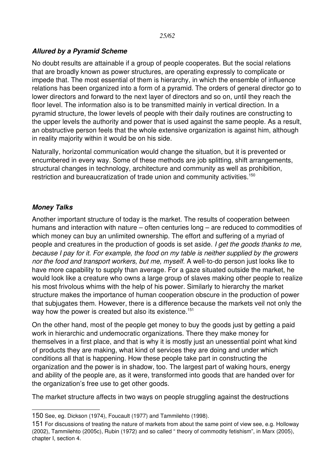#### <span id="page-24-1"></span>*Allured by a Pyramid Scheme*

No doubt results are attainable if a group of people cooperates. But the social relations that are broadly known as power structures, are operating expressly to complicate or impede that. The most essential of them is hierarchy, in which the ensemble of influence relations has been organized into a form of a pyramid. The orders of general director go to lower directors and forward to the next layer of directors and so on, until they reach the floor level. The information also is to be transmitted mainly in vertical direction. In a pyramid structure, the lower levels of people with their daily routines are constructing to the upper levels the authority and power that is used against the same people. As a result, an obstructive person feels that the whole extensive organization is against him, although in reality majority within it would be on his side.

Naturally, horizontal communication would change the situation, but it is prevented or encumbered in every way. Some of these methods are job splitting, shift arrangements, structural changes in technology, architecture and community as well as prohibition, restriction and bureaucratization of trade union and community activities.<sup>[150](#page-24-2)</sup>

#### <span id="page-24-0"></span>*Money Talks*

Another important structure of today is the market. The results of cooperation between humans and interaction with nature – often centuries long – are reduced to commodities of which money can buy an unlimited ownership. The effort and suffering of a myriad of people and creatures in the production of goods is set aside. *I get the goods thanks to me, because I pay for it. For example, the food on my table is neither supplied by the growers nor the food and transport workers, but me, myself.* A well-to-do person just looks like to have more capability to supply than average. For a gaze situated outside the market, he would look like a creature who owns a large group of slaves making other people to realize his most frivolous whims with the help of his power. Similarly to hierarchy the market structure makes the importance of human cooperation obscure in the production of power that subjugates them. However, there is a difference because the markets veil not only the way how the power is created but also its existence.<sup>[151](#page-24-3)</sup>

On the other hand, most of the people get money to buy the goods just by getting a paid work in hierarchic and undemocratic organizations. There they make money for themselves in a first place, and that is why it is mostly just an unessential point what kind of products they are making, what kind of services they are doing and under which conditions all that is happening. How these people take part in constructing the organization and the power is in shadow, too. The largest part of waking hours, energy and ability of the people are, as it were, transformed into goods that are handed over for the organization's free use to get other goods.

The market structure affects in two ways on people struggling against the destructions

<span id="page-24-2"></span><sup>150</sup> See, eg. Dickson (1974), Foucault (1977) and Tammilehto (1998).

<span id="page-24-3"></span><sup>151</sup> For discussions of treating the nature of markets from about the same point of view see, e.g. Holloway (2002), Tammilehto (2005c), Rubin (1972) and so called " theory of commodity fetishism", in Marx (2005), chapter I, section 4.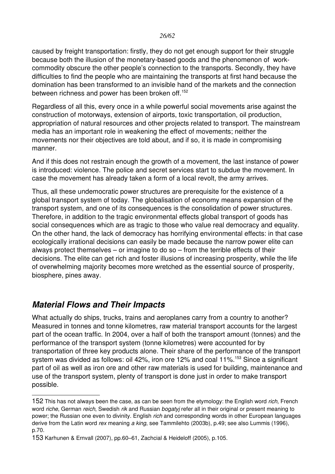caused by freight transportation: firstly, they do not get enough support for their struggle because both the illusion of the monetary-based goods and the phenomenon of workcommodity obscure the other people's connection to the transports. Secondly, they have difficulties to find the people who are maintaining the transports at first hand because the domination has been transformed to an invisible hand of the markets and the connection between richness and power has been broken off.<sup>[152](#page-25-1)</sup>

Regardless of all this, every once in a while powerful social movements arise against the construction of motorways, extension of airports, toxic transportation, oil production, appropriation of natural resources and other projects related to transport. The mainstream media has an important role in weakening the effect of movements; neither the movements nor their objectives are told about, and if so, it is made in compromising manner.

And if this does not restrain enough the growth of a movement, the last instance of power is introduced: violence. The police and secret services start to subdue the movement. In case the movement has already taken a form of a local revolt, the army arrives.

Thus, all these undemocratic power structures are prerequisite for the existence of a global transport system of today. The globalisation of economy means expansion of the transport system, and one of its consequences is the consolidation of power structures. Therefore, in addition to the tragic environmental effects global transport of goods has social consequences which are as tragic to those who value real democracy and equality. On the other hand, the lack of democracy has horrifying environmental effects: in that case ecologically irrational decisions can easily be made because the narrow power elite can always protect themselves – or imagine to do so – from the terrible effects of their decisions. The elite can get rich and foster illusions of increasing prosperity, while the life of overwhelming majority becomes more wretched as the essential source of prosperity, biosphere, pines away.

### <span id="page-25-0"></span>*Material Flows and Their Impacts*

What actually do ships, trucks, trains and aeroplanes carry from a country to another? Measured in tonnes and tonne kilometres, raw material transport accounts for the largest part of the ocean traffic. In 2004, over a half of both the transport amount (tonnes) and the performance of the transport system (tonne kilometres) were accounted for by transportation of three key products alone. Their share of the performance of the transport system was divided as follows: oil 42%, iron ore 12% and coal 11%.<sup>[153](#page-25-2)</sup> Since a significant part of oil as well as iron ore and other raw materials is used for building, maintenance and use of the transport system, plenty of transport is done just in order to make transport possible.

<span id="page-25-1"></span><sup>152</sup> This has not always been the case, as can be seen from the etymology: the English word *rich,* French word *riche*, German *reich*, Swedish *rik* and Russian *bogatyj* refer all in their original or present meaning to power; the Russian one even to divinity. English *rich* and corresponding words in other European languages derive from the Latin word *rex* meaning *a king*, see Tammilehto (2003b), p.49; see also Lummis (1996), p.70.

<span id="page-25-2"></span><sup>153</sup> Karhunen & Ernvall (2007), pp.60–61, Zachcial & Heideloff (2005), p.105.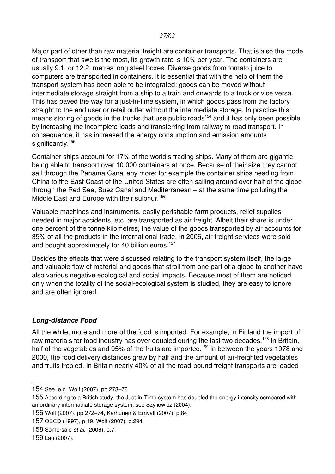Major part of other than raw material freight are container transports. That is also the mode of transport that swells the most, its growth rate is 10% per year. The containers are usually 9.1. or 12.2. metres long steel boxes. Diverse goods from tomato juice to computers are transported in containers. It is essential that with the help of them the transport system has been able to be integrated: goods can be moved without intermediate storage straight from a ship to a train and onwards to a truck or vice versa. This has paved the way for a just-in-time system, in which goods pass from the factory straight to the end user or retail outlet without the intermediate storage. In practice this means storing of goods in the trucks that use public roads<sup>[154](#page-26-1)</sup> and it has only been possible by increasing the incomplete loads and transferring from railway to road transport. In consequence, it has increased the energy consumption and emission amounts significantly.<sup>[155](#page-26-2)</sup>

Container ships account for 17% of the world's trading ships. Many of them are gigantic being able to transport over 10 000 containers at once. Because of their size they cannot sail through the Panama Canal any more; for example the container ships heading from China to the East Coast of the United States are often sailing around over half of the globe through the Red Sea, Suez Canal and Mediterranean – at the same time polluting the Middle East and Europe with their sulphur.<sup>[156](#page-26-3)</sup>

Valuable machines and instruments, easily perishable farm products, relief supplies needed in major accidents, etc. are transported as air freight. Albeit their share is under one percent of the tonne kilometres, the value of the goods transported by air accounts for 35% of all the products in the international trade. In 2006, air freight services were sold and bought approximately for 40 billion euros.<sup>[157](#page-26-4)</sup>

Besides the effects that were discussed relating to the transport system itself, the large and valuable flow of material and goods that stroll from one part of a globe to another have also various negative ecological and social impacts. Because most of them are noticed only when the totality of the social-ecological system is studied, they are easy to ignore and are often ignored.

#### <span id="page-26-0"></span>**Long-distance Food**

All the while, more and more of the food is imported. For example, in Finland the import of raw materials for food industry has over doubled during the last two decades.<sup>[158](#page-26-5)</sup> In Britain, half of the vegetables and 95% of the fruits are imported.<sup>[159](#page-26-6)</sup> In between the vears 1978 and 2000, the food delivery distances grew by half and the amount of air-freighted vegetables and fruits trebled. In Britain nearly 40% of all the road-bound freight transports are loaded

<span id="page-26-1"></span><sup>154</sup> See, e.g. Wolf (2007), pp.273–76.

<span id="page-26-2"></span><sup>155</sup> According to a British study, the Just-in-Time system has doubled the energy intensity compared with an ordinary intermadiate storage system, see Szyliowicz (2004).

<span id="page-26-3"></span><sup>156</sup> Wolf (2007), pp.272–74, Karhunen & Ernvall (2007), p.84.

<span id="page-26-4"></span><sup>157</sup> OECD (1997), p.19, Wolf (2007), p.294.

<span id="page-26-5"></span><sup>158</sup> Somersalo *et al.* (2006), p.7.

<span id="page-26-6"></span><sup>159</sup> Lau (2007).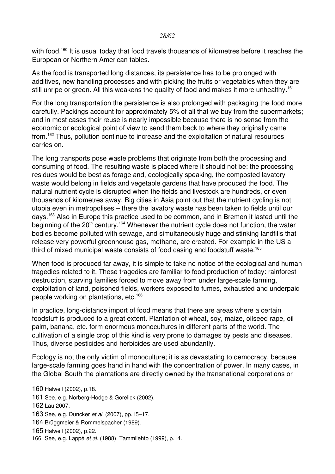*28/62*

with food.<sup>[160](#page-27-0)</sup> It is usual today that food travels thousands of kilometres before it reaches the European or Northern American tables.

As the food is transported long distances, its persistence has to be prolonged with additives, new handling processes and with picking the fruits or vegetables when they are still unripe or green. All this weakens the quality of food and makes it more unhealthy.<sup>[161](#page-27-1)</sup>

For the long transportation the persistence is also prolonged with packaging the food more carefully. Packings account for approximately 5% of all that we buy from the supermarkets; and in most cases their reuse is nearly impossible because there is no sense from the economic or ecological point of view to send them back to where they originally came from.<sup>[162](#page-27-2)</sup> Thus, pollution continue to increase and the exploitation of natural resources carries on.

The long transports pose waste problems that originate from both the processing and consuming of food. The resulting waste is placed where it should not be: the processing residues would be best as forage and, ecologically speaking, the composted lavatory waste would belong in fields and vegetable gardens that have produced the food. The natural nutrient cycle is disrupted when the fields and livestock are hundreds, or even thousands of kilometres away. Big cities in Asia point out that the nutrient cycling is not utopia even in metropolises – there the lavatory waste has been taken to fields until our days.<sup>[163](#page-27-3)</sup> Also in Europe this practice used to be common, and in Bremen it lasted until the beginning of the  $20<sup>th</sup>$  century.<sup>[164](#page-27-4)</sup> Whenever the nutrient cycle does not function, the water bodies become polluted with sewage, and simultaneously huge and stinking landfills that release very powerful greenhouse gas, methane, are created. For example in the US a third of mixed municipal waste consists of food casing and foodstuff waste.<sup>[165](#page-27-5)</sup>

When food is produced far away, it is simple to take no notice of the ecological and human tragedies related to it. These tragedies are familiar to food production of today: rainforest destruction, starving families forced to move away from under large-scale farming, exploitation of land, poisoned fields, workers exposed to fumes, exhausted and underpaid people working on plantations, etc.<sup>[166](#page-27-6)</sup>

In practice, long-distance import of food means that there are areas where a certain foodstuff is produced to a great extent. Plantation of wheat, soy, maize, oilseed rape, oil palm, banana, etc. form enormous monocultures in different parts of the world. The cultivation of a single crop of this kind is very prone to damages by pests and diseases. Thus, diverse pesticides and herbicides are used abundantly.

Ecology is not the only victim of monoculture; it is as devastating to democracy, because large-scale farming goes hand in hand with the concentration of power. In many cases, in the Global South the plantations are directly owned by the transnational corporations or

<span id="page-27-0"></span><sup>160</sup> Halweil (2002), p.18.

<span id="page-27-1"></span><sup>161</sup> See, e.g. Norberg-Hodge & Gorelick (2002).

<span id="page-27-2"></span><sup>162</sup> Lau 2007.

<span id="page-27-3"></span><sup>163</sup> See, e.g. Duncker *et al.* (2007), pp.15–17.

<span id="page-27-4"></span><sup>164</sup> Brüggmeier & Rommelspacher (1989).

<span id="page-27-5"></span><sup>165</sup> Halweil (2002), p.22.

<span id="page-27-6"></span><sup>166</sup> See, e.g. Lappé *et al.* (1988), Tammilehto (1999), p.14.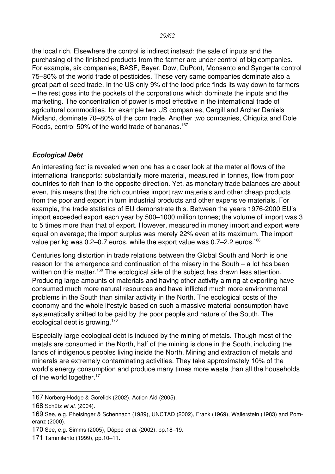the local rich. Elsewhere the control is indirect instead: the sale of inputs and the purchasing of the finished products from the farmer are under control of big companies. For example, six companies; BASF, Bayer, Dow, DuPont, Monsanto and Syngenta control 75–80% of the world trade of pesticides. These very same companies dominate also a great part of seed trade. In the US only 9% of the food price finds its way down to farmers – the rest goes into the pockets of the corporations which dominate the inputs and the marketing. The concentration of power is most effective in the international trade of agricultural commodities: for example two US companies, Cargill and Archer Daniels Midland, dominate 70–80% of the corn trade. Another two companies, Chiquita and Dole Foods, control 50% of the world trade of bananas.<sup>[167](#page-28-1)</sup>

#### <span id="page-28-0"></span>*Ecological Debt*

An interesting fact is revealed when one has a closer look at the material flows of the international transports: substantially more material, measured in tonnes, flow from poor countries to rich than to the opposite direction. Yet, as monetary trade balances are about even, this means that the rich countries import raw materials and other cheap products from the poor and export in turn industrial products and other expensive materials. For example, the trade statistics of EU demonstrate this. Between the years 1976-2000 EU's import exceeded export each year by 500–1000 million tonnes; the volume of import was 3 to 5 times more than that of export. However, measured in money import and export were equal on average; the import surplus was merely 22% even at its maximum. The import value per kg was  $0.2-0.7$  euros, while the export value was  $0.7-2.2$  euros.<sup>[168](#page-28-2)</sup>

Centuries long distortion in trade relations between the Global South and North is one reason for the emergence and continuation of the misery in the South – a lot has been written on this matter.<sup>[169](#page-28-3)</sup> The ecological side of the subject has drawn less attention. Producing large amounts of materials and having other activity aiming at exporting have consumed much more natural resources and have inflicted much more environmental problems in the South than similar activity in the North. The ecological costs of the economy and the whole lifestyle based on such a massive material consumption have systematically shifted to be paid by the poor people and nature of the South. The ecological debt is growing.[170](#page-28-4)

Especially large ecological debt is induced by the mining of metals. Though most of the metals are consumed in the North, half of the mining is done in the South, including the lands of indigenous peoples living inside the North. Mining and extraction of metals and minerals are extremely contaminating activities. They take approximately 10% of the world's energy consumption and produce many times more waste than all the households of the world together.<sup>[171](#page-28-5)</sup>

<span id="page-28-1"></span><sup>167</sup> Norberg-Hodge & Gorelick (2002), Action Aid (2005).

<span id="page-28-2"></span><sup>168</sup> Schütz *et al.* (2004).

<span id="page-28-3"></span><sup>169</sup> See, e.g. Pheisinger & Schennach (1989), UNCTAD (2002), Frank (1969), Wallerstein (1983) and Pomeranz (2000).

<span id="page-28-4"></span><sup>170</sup> See, e.g. Simms (2005), Döppe *et al.* (2002), pp.18–19.

<span id="page-28-5"></span><sup>171</sup> Tammilehto (1999), pp.10–11.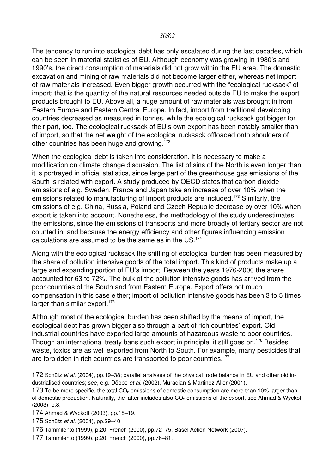The tendency to run into ecological debt has only escalated during the last decades, which can be seen in material statistics of EU. Although economy was growing in 1980's and 1990's, the direct consumption of materials did not grow within the EU area. The domestic excavation and mining of raw materials did not become larger either, whereas net import of raw materials increased. Even bigger growth occurred with the "ecological rucksack" of import; that is the quantity of the natural resources needed outside EU to make the export products brought to EU. Above all, a huge amount of raw materials was brought in from Eastern Europe and Eastern Central Europe. In fact, import from traditional developing countries decreased as measured in tonnes, while the ecological rucksack got bigger for their part, too. The ecological rucksack of EU's own export has been notably smaller than of import, so that the net weight of the ecological rucksack offloaded onto shoulders of other countries has been huge and growing.<sup>[172](#page-29-0)</sup>

When the ecological debt is taken into consideration, it is necessary to make a modification on climate change discussion. The list of sins of the North is even longer than it is portrayed in official statistics, since large part of the greenhouse gas emissions of the South is related with export. A study produced by OECD states that carbon dioxide emissions of e.g. Sweden, France and Japan take an increase of over 10% when the emissions related to manufacturing of import products are included.<sup>[173](#page-29-1)</sup> Similarly, the emissions of e.g. China, Russia, Poland and Czech Republic decrease by over 10% when export is taken into account. Nonetheless, the methodology of the study underestimates the emissions, since the emissions of transports and more broadly of tertiary sector are not counted in, and because the energy efficiency and other figures influencing emission calculations are assumed to be the same as in the US.<sup>[174](#page-29-2)</sup>

Along with the ecological rucksack the shifting of ecological burden has been measured by the share of pollution intensive goods of the total import. This kind of products make up a large and expanding portion of EU's import. Between the years 1976-2000 the share accounted for 63 to 72%. The bulk of the pollution intensive goods has arrived from the poor countries of the South and from Eastern Europe. Export offers not much compensation in this case either; import of pollution intensive goods has been 3 to 5 times larger than similar export.<sup>[175](#page-29-3)</sup>

Although most of the ecological burden has been shifted by the means of import, the ecological debt has grown bigger also through a part of rich countries' export. Old industrial countries have exported large amounts of hazardous waste to poor countries. Though an international treaty bans such export in principle, it still goes on.<sup>[176](#page-29-4)</sup> Besides waste, toxics are as well exported from North to South. For example, many pesticides that are forbidden in rich countries are transported to poor countries.<sup>[177](#page-29-5)</sup>

<span id="page-29-0"></span><sup>172</sup> Schütz *et al.* (2004), pp.19–38; parallel analyses of the physical trade balance in EU and other old industrialised countries; see, e.g. Döppe et al. (2002), Muradian & Martinez-Alier (2001).

<span id="page-29-1"></span><sup>173</sup> To be more specific, the total  $CO<sub>2</sub>$  emissions of domestic consumption are more than 10% larger than of domestic production. Naturally, the latter includes also  $CO<sub>2</sub>$  emissions of the export, see Ahmad & Wyckoff (2003), p.8.

<span id="page-29-2"></span><sup>174</sup> Ahmad & Wyckoff (2003), pp.18–19.

<span id="page-29-3"></span><sup>175</sup> Schütz *et al.* (2004), pp.29–40.

<span id="page-29-4"></span><sup>176</sup> Tammilehto (1999), p.20, French (2000), pp.72–75, Basel Action Network (2007).

<span id="page-29-5"></span><sup>177</sup> Tammilehto (1999), p.20, French (2000), pp.76–81.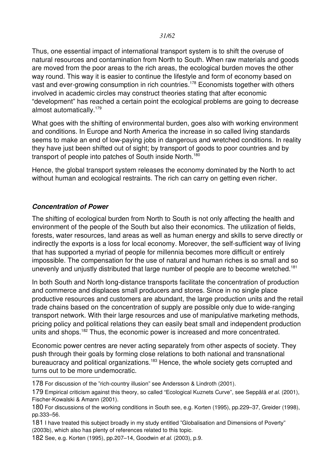Thus, one essential impact of international transport system is to shift the overuse of natural resources and contamination from North to South. When raw materials and goods are moved from the poor areas to the rich areas, the ecological burden moves the other way round. This way it is easier to continue the lifestyle and form of economy based on vast and ever-growing consumption in rich countries.<sup>[178](#page-30-1)</sup> Economists together with others involved in academic circles may construct theories stating that after economic "development" has reached a certain point the ecological problems are going to decrease almost automatically.[179](#page-30-2)

What goes with the shifting of environmental burden, goes also with working environment and conditions. In Europe and North America the increase in so called living standards seems to make an end of low-paying jobs in dangerous and wretched conditions. In reality they have just been shifted out of sight; by transport of goods to poor countries and by transport of people into patches of South inside North.<sup>[180](#page-30-3)</sup>

Hence, the global transport system releases the economy dominated by the North to act without human and ecological restraints. The rich can carry on getting even richer.

#### <span id="page-30-0"></span>*Concentration of Power*

The shifting of ecological burden from North to South is not only affecting the health and environment of the people of the South but also their economics. The utilization of fields, forests, water resources, land areas as well as human energy and skills to serve directly or indirectly the exports is a loss for local economy. Moreover, the self-sufficient way of living that has supported a myriad of people for millennia becomes more difficult or entirely impossible. The compensation for the use of natural and human riches is so small and so unevenly and unjustly distributed that large number of people are to become wretched.<sup>[181](#page-30-4)</sup>

In both South and North long-distance transports facilitate the concentration of production and commerce and displaces small producers and stores. Since in no single place productive resources and customers are abundant, the large production units and the retail trade chains based on the concentration of supply are possible only due to wideranging transport network. With their large resources and use of manipulative marketing methods, pricing policy and political relations they can easily beat small and independent production units and shops.<sup>[182](#page-30-5)</sup> Thus, the economic power is increased and more concentrated.

Economic power centres are never acting separately from other aspects of society. They push through their goals by forming close relations to both national and transnational bureaucracy and political organizations.<sup>[183](#page-31-0)</sup> Hence, the whole society gets corrupted and turns out to be more undemocratic.

<span id="page-30-1"></span><sup>178</sup> For discussion of the "rich-country illusion" see Andersson & Lindroth (2001).

<span id="page-30-2"></span><sup>179</sup> Empirical criticism against this theory, so called "Ecological Kuznets Curve", see Seppälä *et al.* (2001), Fischer-Kowalski & Amann (2001).

<span id="page-30-3"></span><sup>180</sup> For discussions of the working conditions in South see, e.g. Korten (1995), pp.229–37, Greider (1998), pp.333–56.

<span id="page-30-4"></span><sup>181</sup> I have treated this subject broadly in my study entitled "Globalisation and Dimensions of Poverty" (2003b), which also has plenty of references related to this topic.

<span id="page-30-5"></span><sup>182</sup> See, e.g. Korten (1995), pp.207–14, Goodwin *et al.* (2003), p.9.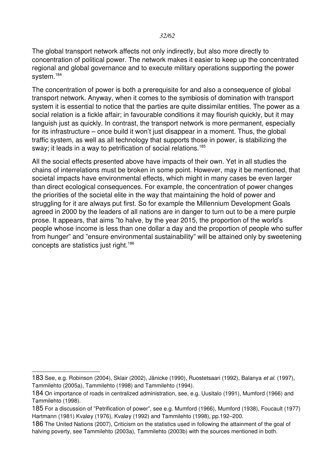The global transport network affects not only indirectly, but also more directly to concentration of political power. The network makes it easier to keep up the concentrated regional and global governance and to execute military operations supporting the power system.<sup>[184](#page-31-1)</sup>

The concentration of power is both a prerequisite for and also a consequence of global transport network. Anyway, when it comes to the symbiosis of domination with transport system it is essential to notice that the parties are quite dissimilar entities. The power as a social relation is a fickle affair; in favourable conditions it may flourish quickly, but it may languish just as quickly. In contrast, the transport network is more permanent, especially for its infrastructure – once build it won't just disappear in a moment. Thus, the global traffic system, as well as all technology that supports those in power, is stabilizing the sway; it leads in a way to petrification of social relations.<sup>[185](#page-31-2)</sup>

All the social effects presented above have impacts of their own. Yet in all studies the chains of interrelations must be broken in some point. However, may it be mentioned, that societal impacts have environmental effects, which might in many cases be even larger than direct ecological consequences. For example, the concentration of power changes the priorities of the societal elite in the way that maintaining the hold of power and struggling for it are always put first. So for example the Millennium Development Goals agreed in 2000 by the leaders of all nations are in danger to turn out to be a mere purple prose. It appears, that aims "to halve, by the year 2015, the proportion of the world's people whose income is less than one dollar a day and the proportion of people who suffer from hunger" and "ensure environmental sustainability" will be attained only by sweetening concepts are statistics just right.<sup>[186](#page-31-3)</sup>

<span id="page-31-0"></span><sup>183</sup> See, e.g. Robinson (2004), Sklair (2002), Jänicke (1990), Ruostetsaari (1992), Balanya *et al.* (1997), Tammilehto (2005a), Tammilehto (1998) and Tammilehto (1994).

<span id="page-31-1"></span><sup>184</sup> On importance of roads in centralized administration, see, e.g. Uusitalo (1991), Mumford (1966) and Tammilehto (1998).

<span id="page-31-2"></span><sup>185</sup> For a discussion of "Petrification of power", see e.g. Mumford (1966), Mumford (1938), Foucault (1977) Hartmann (1981) Kvaløy (1976), Kvaløy (1992) and Tammilehto (1998), pp.192–200.

<span id="page-31-3"></span><sup>186</sup> The United Nations (2007), Criticism on the statistics used in following the attainment of the goal of halving poverty, see Tammilehto (2003a), Tammilehto (2003b) with the sources mentioned in both.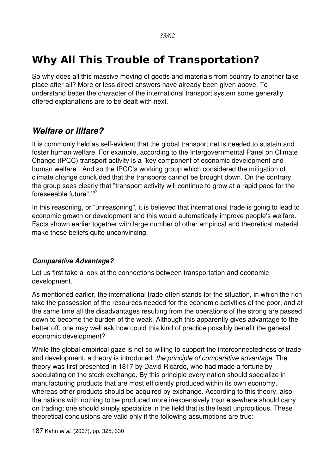# <span id="page-32-2"></span>**Why All This Trouble of Transportation?**

So why does all this massive moving of goods and materials from country to another take place after all? More or less direct answers have already been given above. To understand better the character of the international transport system some generally offered explanations are to be dealt with next.

### <span id="page-32-1"></span>*Welfare or Illfare?*

It is commonly held as self-evident that the global transport net is needed to sustain and foster human welfare. For example, according to the Intergovernmental Panel on Climate Change (IPCC) transport activity is a "key component of economic development and human welfare". And so the IPCC's working group which considered the mitigation of climate change concluded that the transports cannot be brought down. On the contrary, the group sees clearly that "transport activity will continue to grow at a rapid pace for the foreseeable future".[187](#page-32-3)

In this reasoning, or "unreasoning", it is believed that international trade is going to lead to economic growth or development and this would automatically improve people's welfare. Facts shown earlier together with large number of other empirical and theoretical material make these beliefs quite unconvincing.

#### <span id="page-32-0"></span>*Comparative Advantage?*

Let us first take a look at the connections between transportation and economic development.

As mentioned earlier, the international trade often stands for the situation, in which the rich take the possession of the resources needed for the economic activities of the poor, and at the same time all the disadvantages resulting from the operations of the strong are passed down to become the burden of the weak. Although this apparently gives advantage to the better off, one may well ask how could this kind of practice possibly benefit the general economic development?

<span id="page-32-3"></span>While the global empirical gaze is not so willing to support the interconnectedness of trade and development, a theory is introduced: *the principle of comparative advantage*. The theory was first presented in 1817 by David Ricardo, who had made a fortune by speculating on the stock exchange. By this principle every nation should specialize in manufacturing products that are most efficiently produced within its own economy, whereas other products should be acquired by exchange. According to this theory, also the nations with nothing to be produced more inexpensively than elsewhere should carry on trading; one should simply specialize in the field that is the least unpropitious. These theoretical conclusions are valid only if the following assumptions are true: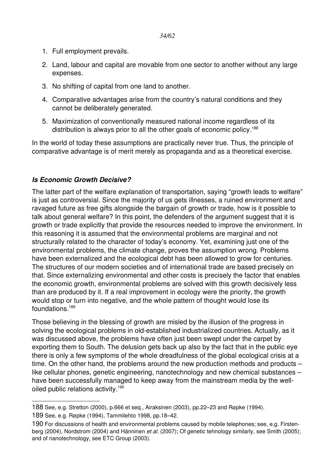- 1. Full employment prevails.
- 2. Land, labour and capital are movable from one sector to another without any large expenses.
- 3. No shifting of capital from one land to another.
- 4. Comparative advantages arise from the country's natural conditions and they cannot be deliberately generated.
- 5. Maximization of conventionally measured national income regardless of its distribution is always prior to all the other goals of economic policy.<sup>[188](#page-33-1)</sup>

In the world of today these assumptions are practically never true. Thus, the principle of comparative advantage is of merit merely as propaganda and as a theoretical exercise.

#### <span id="page-33-0"></span>*Is Economic Growth Decisive?*

The latter part of the welfare explanation of transportation, saying "growth leads to welfare" is just as controversial. Since the majority of us gets illnesses, a ruined environment and ravaged future as free gifts alongside the bargain of growth or trade, how is it possible to talk about general welfare? In this point, the defenders of the argument suggest that it is growth or trade explicitly that provide the resources needed to improve the environment. In this reasoning it is assumed that the environmental problems are marginal and not structurally related to the character of today's economy. Yet, examining just one of the environmental problems, the climate change, proves the assumption wrong. Problems have been externalized and the ecological debt has been allowed to grow for centuries. The structures of our modern societies and of international trade are based precisely on that. Since externalizing environmental and other costs is precisely the factor that enables the economic growth, environmental problems are solved with this growth decisively less than are produced by it. If a real improvement in ecology were the priority, the growth would stop or turn into negative, and the whole pattern of thought would lose its foundations.[189](#page-33-2)

Those believing in the blessing of growth are misled by the illusion of the progress in solving the ecological problems in old-established industrialized countries. Actually, as it was discussed above, the problems have often just been swept under the carpet by exporting them to South. The delusion gets back up also by the fact that in the public eye there is only a few symptoms of the whole dreadfulness of the global ecological crisis at a time. On the other hand, the problems around the new production methods and products – like cellular phones, genetic engineering, nanotechnology and new chemical substances – have been successfully managed to keep away from the mainstream media by the well-oiled public relations activity.<sup>[190](#page-33-3)</sup>

<span id="page-33-2"></span><span id="page-33-1"></span><sup>188</sup> See, e.g. Stretton (2000), p.666 et seq., Airaksinen (2003), pp.22–23 and Røpke (1994). 189 See, e.g. Røpke (1994), Tammilehto 1998, pp.18–42.

<span id="page-33-3"></span><sup>190</sup> For discussions of health and environmental problems caused by mobile telephones; see, e.g. Firstenberg (2004), Nordstrom (2004) and Hänninen *et al.* (2007); Of genetic tehnology similarly, see Smith (2005); and of nanotechnology, see ETC Group (2003).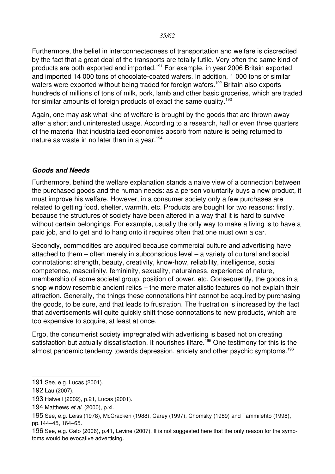*35/62*

Furthermore, the belief in interconnectedness of transportation and welfare is discredited by the fact that a great deal of the transports are totally futile. Very often the same kind of products are both exported and imported.[191](#page-34-1) For example, in year 2006 Britain exported and imported 14 000 tons of chocolate-coated wafers. In addition, 1 000 tons of similar wafers were exported without being traded for foreign wafers.<sup>[192](#page-34-2)</sup> Britain also exports hundreds of millions of tons of milk, pork, lamb and other basic groceries, which are traded for similar amounts of foreign products of exact the same quality.<sup>[193](#page-34-3)</sup>

Again, one may ask what kind of welfare is brought by the goods that are thrown away after a short and uninterested usage. According to a research, half or even three quarters of the material that industrialized economies absorb from nature is being returned to nature as waste in no later than in a year.<sup>[194](#page-34-4)</sup>

#### <span id="page-34-0"></span>*Goods and Needs*

Furthermore, behind the welfare explanation stands a naive view of a connection between the purchased goods and the human needs: as a person voluntarily buys a new product, it must improve his welfare. However, in a consumer society only a few purchases are related to getting food, shelter, warmth, etc. Products are bought for two reasons: firstly, because the structures of society have been altered in a way that it is hard to survive without certain belongings. For example, usually the only way to make a living is to have a paid job, and to get and to hang onto it requires often that one must own a car.

Secondly, commodities are acquired because commercial culture and advertising have attached to them – often merely in subconscious level – a variety of cultural and social connotations: strength, beauty, creativity, know-how, reliability, intelligence, social competence, masculinity, femininity, sexuality, naturalness, experience of nature, membership of some societal group, position of power, etc. Consequently, the goods in a shop window resemble ancient relics – the mere materialistic features do not explain their attraction. Generally, the things these connotations hint cannot be acquired by purchasing the goods, to be sure, and that leads to frustration. The frustration is increased by the fact that advertisements will quite quickly shift those connotations to new products, which are too expensive to acquire, at least at once.

Ergo, the consumerist society impregnated with advertising is based not on creating satisfaction but actually dissatisfaction. It nourishes illfare.<sup>[195](#page-34-5)</sup> One testimony for this is the almost pandemic tendency towards depression, anxiety and other psychic symptoms.<sup>[196](#page-34-6)</sup>

<span id="page-34-1"></span><sup>191</sup> See, e.g. Lucas (2001).

<span id="page-34-2"></span><sup>192</sup> Lau (2007).

<span id="page-34-3"></span><sup>193</sup> Halweil (2002), p.21, Lucas (2001).

<span id="page-34-4"></span><sup>194</sup> Matthews *et al.* (2000), p.xi.

<span id="page-34-5"></span><sup>195</sup> See, e.g. Leiss (1978), McCracken (1988), Carey (1997), Chomsky (1989) and Tammilehto (1998), pp.144–45, 164–65.

<span id="page-34-6"></span><sup>196</sup> See, e.g. Cato (2006), p.41, Levine (2007). It is not suggested here that the only reason for the symptoms would be evocative advertising.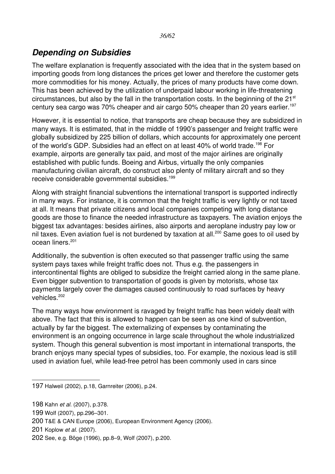# <span id="page-35-0"></span>*Depending on Subsidies*

The welfare explanation is frequently associated with the idea that in the system based on importing goods from long distances the prices get lower and therefore the customer gets more commodities for his money. Actually, the prices of many products have come down. This has been achieved by the utilization of underpaid labour working in life-threatening circumstances, but also by the fall in the transportation costs. In the beginning of the 21<sup>st</sup> century sea cargo was 70% cheaper and air cargo 50% cheaper than 20 years earlier.<sup>[197](#page-35-1)</sup>

However, it is essential to notice, that transports are cheap because they are subsidized in many ways. It is estimated, that in the middle of 1990's passenger and freight traffic were globally subsidized by 225 billion of dollars, which accounts for approximately one percent of the world's GDP. Subsidies had an effect on at least 40% of world trade.<sup>[198](#page-35-2)</sup> For example, airports are generally tax paid, and most of the major airlines are originally established with public funds. Boeing and Airbus, virtually the only companies manufacturing civilian aircraft, do construct also plenty of military aircraft and so they receive considerable governmental subsidies.<sup>[199](#page-35-3)</sup>

Along with straight financial subventions the international transport is supported indirectly in many ways. For instance, it is common that the freight traffic is very lightly or not taxed at all. It means that private citizens and local companies competing with long distance goods are those to finance the needed infrastructure as taxpayers. The aviation enjoys the biggest tax advantages: besides airlines, also airports and aeroplane industry pay low or nil taxes. Even aviation fuel is not burdened by taxation at all.<sup>[200](#page-35-4)</sup> Same goes to oil used by ocean liners.<sup>[201](#page-35-5)</sup>

Additionally, the subvention is often executed so that passenger traffic using the same system pays taxes while freight traffic does not. Thus e.g. the passengers in intercontinental flights are obliged to subsidize the freight carried along in the same plane. Even bigger subvention to transportation of goods is given by motorists, whose tax payments largely cover the damages caused continuously to road surfaces by heavy vehicles.<sup>[202](#page-35-6)</sup>

The many ways how environment is ravaged by freight traffic has been widely dealt with above. The fact that this is allowed to happen can be seen as one kind of subvention, actually by far the biggest. The externalizing of expenses by contaminating the environment is an ongoing occurrence in large scale throughout the whole industrialized system. Though this general subvention is most important in international transports, the branch enjoys many special types of subsidies, too. For example, the noxious lead is still used in aviation fuel, while lead-free petrol has been commonly used in cars since

<span id="page-35-2"></span>198 Kahn *et al.* (2007), p.378.

- <span id="page-35-3"></span>199 Wolf (2007), pp.296–301.
- <span id="page-35-4"></span>200 T&E & CAN Europe (2006), European Environment Agency (2006).
- <span id="page-35-5"></span>201 Koplow *et al.* (2007).

<span id="page-35-1"></span><sup>197</sup> Halweil (2002), p.18, Garnreiter (2006), p.24.

<span id="page-35-6"></span><sup>202</sup> See, e.g. Böge (1996), pp.8–9, Wolf (2007), p.200.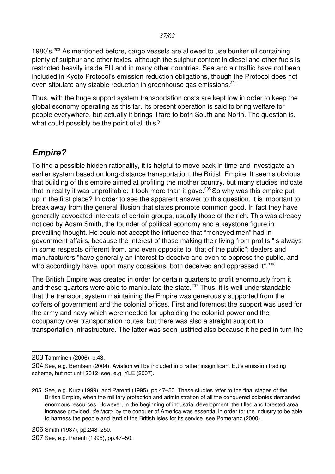1980's.<sup>[203](#page-36-1)</sup> As mentioned before, cargo vessels are allowed to use bunker oil containing plenty of sulphur and other toxics, although the sulphur content in diesel and other fuels is restricted heavily inside EU and in many other countries. Sea and air traffic have not been included in Kyoto Protocol's emission reduction obligations, though the Protocol does not even stipulate any sizable reduction in greenhouse gas emissions.<sup>[204](#page-36-2)</sup>

Thus, with the huge support system transportation costs are kept low in order to keep the global economy operating as this far. Its present operation is said to bring welfare for people everywhere, but actually it brings illfare to both South and North. The question is, what could possibly be the point of all this?

### <span id="page-36-0"></span>*Empire?*

To find a possible hidden rationality, it is helpful to move back in time and investigate an earlier system based on long-distance transportation, the British Empire. It seems obvious that building of this empire aimed at profiting the mother country, but many studies indicate that in reality it was unprofitable: it took more than it gave.<sup>[205](#page-36-3)</sup> So why was this empire put up in the first place? In order to see the apparent answer to this question, it is important to break away from the general illusion that states promote common good. In fact they have generally advocated interests of certain groups, usually those of the rich. This was already noticed by Adam Smith, the founder of political economy and a keystone figure in prevailing thought. He could not accept the influence that "moneyed men" had in government affairs, because the interest of those making their living from profits "is always in some respects different from, and even opposite to, that of the public"; dealers and manufacturers "have generally an interest to deceive and even to oppress the public, and who accordingly have, upon many occasions, both deceived and oppressed it". <sup>[206](#page-36-4)</sup>

The British Empire was created in order for certain quarters to profit enormously from it and these quarters were able to manipulate the state.<sup>[207](#page-36-5)</sup> Thus, it is well understandable that the transport system maintaining the Empire was generously supported from the coffers of government and the colonial offices. First and foremost the support was used for the army and navy which were needed for upholding the colonial power and the occupancy over transportation routes, but there was also a straight support to transportation infrastructure. The latter was seen justified also because it helped in turn the

<span id="page-36-1"></span><sup>203</sup> Tamminen (2006), p.43.

<span id="page-36-2"></span><sup>204</sup> See, e.g. Berntsen (2004). Aviation will be included into rather insignificant EU's emission trading scheme, but not until 2012; see, e.g. YLE (2007).

<span id="page-36-3"></span><sup>205</sup> See, e.g. Kurz (1999), and Parenti (1995), pp.47–50. These studies refer to the final stages of the British Empire, when the military protection and administration of all the conquered colonies demanded enormous resources. However, in the beginning of industrial development, the tilled and forested area increase provided, *de facto*, by the conquer of America was essential in order for the industry to be able to harness the people and land of the British Isles for its service, see Pomeranz (2000).

<span id="page-36-4"></span><sup>206</sup> Smith (1937), pp.248–250.

<span id="page-36-5"></span><sup>207</sup> See, e.g. Parenti (1995), pp.47–50.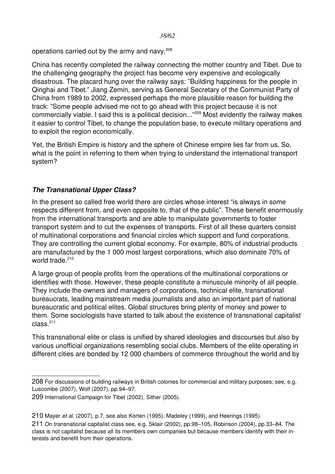operations carried out by the army and navy.<sup>[208](#page-37-1)</sup>

China has recently completed the railway connecting the mother country and Tibet. Due to the challenging geography the project has become very expensive and ecologically disastrous. The placard hung over the railway says: "Building happiness for the people in Qinghai and Tibet." Jiang Zemin, serving as General Secretary of the Communist Party of China from 1989 to 2002, expressed perhaps the more plausible reason for building the track: "Some people advised me not to go ahead with this project because it is not commercially viable. I said this is a political decision..."[209](#page-37-2) Most evidently the railway makes it easier to control Tibet, to change the population base, to execute military operations and to exploit the region economically.

Yet, the British Empire is history and the sphere of Chinese empire lies far from us. So, what is the point in referring to them when trying to understand the international transport system?

#### <span id="page-37-0"></span>*The Transnational Upper Class?*

In the present so called free world there are circles whose interest "is always in some respects different from, and even opposite to, that of the public". These benefit enormously from the international transports and are able to manipulate governments to foster transport system and to cut the expenses of transports. First of all these quarters consist of multinational corporations and financial circles which support and fund corporations. They are controlling the current global economy. For example, 80% of industrial products are manufactured by the 1 000 most largest corporations, which also dominate 70% of world trade.<sup>[210](#page-37-3)</sup>

A large group of people profits from the operations of the multinational corporations or identifies with those. However, these people constitute a minuscule minority of all people. They include the owners and managers of corporations, technical elite, transnational bureaucrats, leading mainstream media journalists and also an important part of national bureaucratic and political elites. Global structures bring plenty of money and power to them. Some sociologists have started to talk about the existence of transnational capitalist  $class.<sup>211</sup>$  $class.<sup>211</sup>$  $class.<sup>211</sup>$ 

This transnational elite or class is unified by shared ideologies and discourses but also by various unofficial organizations resembling social clubs. Members of the elite operating in different cities are bonded by 12 000 chambers of commerce throughout the world and by

<span id="page-37-1"></span><sup>208</sup> For discussions of building railways in British colonies for commercial and military purposes; see, e.g. Luscombe (2007), Wolf (2007), pp.94–97.

<span id="page-37-2"></span><sup>209</sup> International Campaign for Tibet (2002), Sither (2005).

<span id="page-37-3"></span><sup>210</sup> Mayer *et al.* (2007), p.7, see also Korten (1995), Madeley (1999), and Heerings (1995).

<span id="page-37-4"></span><sup>211</sup> On transnational capitalist class see, e.g. Sklair (2002), pp.98–105, Robinson (2004), pp.33–84. The class is not capitalist because all its members own companies but because members identify with their interests and benefit from their operations.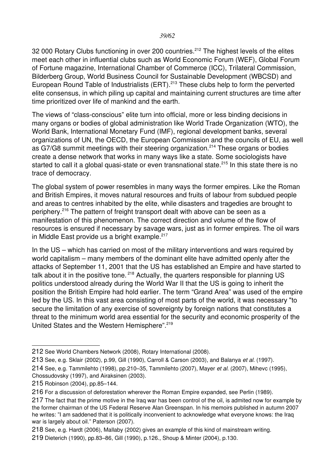32 000 Rotary Clubs functioning in over 200 countries.<sup>[212](#page-38-0)</sup> The highest levels of the elites meet each other in influential clubs such as World Economic Forum (WEF), Global Forum of Fortune magazine, International Chamber of Commerce (ICC), Trilateral Commission, Bilderberg Group, World Business Council for Sustainable Development (WBCSD) and European Round Table of Industrialists (ERT).<sup>[213](#page-38-1)</sup> These clubs help to form the perverted elite consensus, in which piling up capital and maintaining current structures are time after time prioritized over life of mankind and the earth.

The views of "class-conscious" elite turn into official, more or less binding decisions in many organs or bodies of global administration like World Trade Organization (WTO), the World Bank, International Monetary Fund (IMF), regional development banks, several organizations of UN, the OECD, the European Commission and the councils of EU, as well as G7/G8 summit meetings with their steering organization.<sup>[214](#page-38-2)</sup> These organs or bodies create a dense network that works in many ways like a state. Some sociologists have started to call it a global quasi-state or even transnational state.<sup>[215](#page-38-3)</sup> In this state there is no trace of democracy.

The global system of power resembles in many ways the former empires. Like the Roman and British Empires, it moves natural resources and fruits of labour from subdued people and areas to centres inhabited by the elite, while disasters and tragedies are brought to periphery.[216](#page-38-4) The pattern of freight transport dealt with above can be seen as a manifestation of this phenomenon. The correct direction and volume of the flow of resources is ensured if necessary by savage wars, just as in former empires. The oil wars in Middle East provide us a bright example.<sup>[217](#page-38-5)</sup>

In the US – which has carried on most of the military interventions and wars required by world capitalism – many members of the dominant elite have admitted openly after the attacks of September 11, 2001 that the US has established an Empire and have started to talk about it in the positive tone.<sup>[218](#page-38-6)</sup> Actually, the quarters responsible for planning US politics understood already during the World War II that the US is going to inherit the position the British Empire had hold earlier. The term "Grand Area" was used of the empire led by the US. In this vast area consisting of most parts of the world, it was necessary "to secure the limitation of any exercise of sovereignty by foreign nations that constitutes a threat to the minimum world area essential for the security and economic prosperity of the United States and the Western Hemisphere".<sup>[219](#page-38-7)</sup>

<span id="page-38-0"></span><sup>212</sup> See World Chambers Network (2008), Rotary International (2008).

<span id="page-38-1"></span><sup>213</sup> See, e.g. Sklair (2002), p.99, Gill (1990), Carroll & Carson (2003), and Balanya *et al.* (1997).

<span id="page-38-2"></span><sup>214</sup> See, e.g. Tammilehto (1998), pp.210–35, Tammilehto (2007), Mayer *et al.* (2007), Mihevc (1995), Chossudovsky (1997), and Airaksinen (2003).

<span id="page-38-3"></span><sup>215</sup> Robinson (2004), pp.85–144.

<span id="page-38-4"></span><sup>216</sup> For a discussion of deforestation wherever the Roman Empire expanded, see Perlin (1989).

<span id="page-38-5"></span><sup>217</sup> The fact that the prime motive in the Iraq war has been control of the oil, is admited now for example by the former chairman of the US Federal Reserve Alan Greenspan. In his memoirs published in autumn 2007 he writes: "I am saddened that it is politically inconvenient to acknowledge what everyone knows: the Iraq war is largely about oil." Paterson (2007).

<span id="page-38-6"></span><sup>218</sup> See, e.g. Hardt (2006), Mallaby (2002) gives an example of this kind of mainstream writing.

<span id="page-38-7"></span><sup>219</sup> Dieterich (1990), pp.83–86, Gill (1990), p.126., Shoup & Minter (2004), p.130.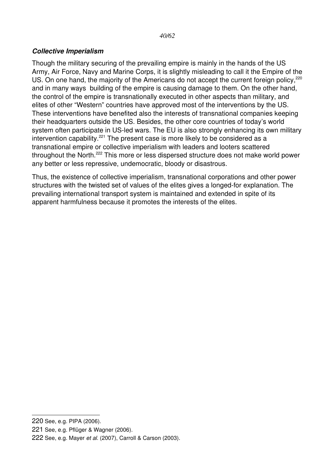#### <span id="page-39-0"></span>*Collective Imperialism*

Though the military securing of the prevailing empire is mainly in the hands of the US Army, Air Force, Navy and Marine Corps, it is slightly misleading to call it the Empire of the US. On one hand, the majority of the Americans do not accept the current foreign policy,<sup>[220](#page-39-1)</sup> and in many ways building of the empire is causing damage to them. On the other hand, the control of the empire is transnationally executed in other aspects than military, and elites of other "Western" countries have approved most of the interventions by the US. These interventions have benefited also the interests of transnational companies keeping their headquarters outside the US. Besides, the other core countries of today's world system often participate in US-led wars. The EU is also strongly enhancing its own military intervention capability.<sup>[221](#page-39-2)</sup> The present case is more likely to be considered as a transnational empire or collective imperialism with leaders and looters scattered throughout the North.<sup>[222](#page-39-3)</sup> This more or less dispersed structure does not make world power any better or less repressive, undemocratic, bloody or disastrous.

Thus, the existence of collective imperialism, transnational corporations and other power structures with the twisted set of values of the elites gives a longed-for explanation. The prevailing international transport system is maintained and extended in spite of its apparent harmfulness because it promotes the interests of the elites.

<span id="page-39-2"></span>221 See, e.g. Pflüger & Wagner (2006).

<span id="page-39-1"></span><sup>220</sup> See, e.g. PIPA (2006).

<span id="page-39-3"></span><sup>222</sup> See, e.g. Mayer *et al.* (2007), Carroll & Carson (2003).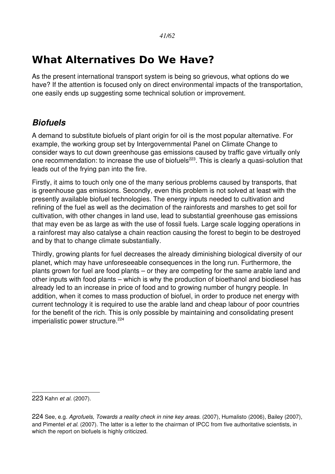# <span id="page-40-1"></span>**What Alternatives Do We Have?**

As the present international transport system is being so grievous, what options do we have? If the attention is focused only on direct environmental impacts of the transportation, one easily ends up suggesting some technical solution or improvement.

# <span id="page-40-0"></span>*Biofuels*

A demand to substitute biofuels of plant origin for oil is the most popular alternative. For example, the working group set by Intergovernmental Panel on Climate Change to consider ways to cut down greenhouse gas emissions caused by traffic gave virtually only one recommendation: to increase the use of biofuels<sup>[223](#page-40-2)</sup>. This is clearly a quasi-solution that leads out of the frying pan into the fire.

Firstly, it aims to touch only one of the many serious problems caused by transports, that is greenhouse gas emissions. Secondly, even this problem is not solved at least with the presently available biofuel technologies. The energy inputs needed to cultivation and refining of the fuel as well as the decimation of the rainforests and marshes to get soil for cultivation, with other changes in land use, lead to substantial greenhouse gas emissions that may even be as large as with the use of fossil fuels. Large scale logging operations in a rainforest may also catalyse a chain reaction causing the forest to begin to be destroyed and by that to change climate substantially.

Thirdly, growing plants for fuel decreases the already diminishing biological diversity of our planet, which may have unforeseeable consequences in the long run. Furthermore, the plants grown for fuel are food plants – or they are competing for the same arable land and other inputs with food plants – which is why the production of bioethanol and biodiesel has already led to an increase in price of food and to growing number of hungry people. In addition, when it comes to mass production of biofuel, in order to produce net energy with current technology it is required to use the arable land and cheap labour of poor countries for the benefit of the rich. This is only possible by maintaining and consolidating present imperialistic power structure.<sup>[224](#page-40-3)</sup>

<span id="page-40-2"></span><sup>223</sup> Kahn *et al.* (2007).

<span id="page-40-3"></span><sup>224</sup> See, e.g. *Agrofuels, Towards a reality check in nine key areas*. (2007), Humalisto (2006), Bailey (2007), and Pimentel *et al.* (2007). The latter is a letter to the chairman of IPCC from five authoritative scientists, in which the report on biofuels is highly criticized.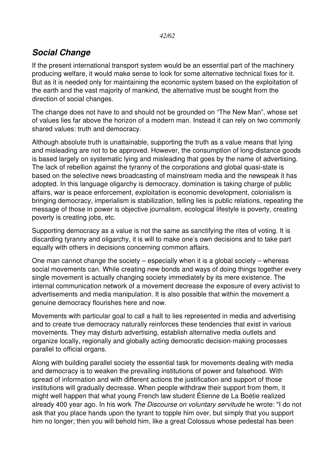# <span id="page-41-0"></span>*Social Change*

If the present international transport system would be an essential part of the machinery producing welfare, it would make sense to look for some alternative technical fixes for it. But as it is needed only for maintaining the economic system based on the exploitation of the earth and the vast majority of mankind, the alternative must be sought from the direction of social changes.

The change does not have to and should not be grounded on "The New Man", whose set of values lies far above the horizon of a modern man. Instead it can rely on two commonly shared values: truth and democracy.

Although absolute truth is unattainable, supporting the truth as a value means that lying and misleading are not to be approved. However, the consumption of long-distance goods is based largely on systematic lying and misleading that goes by the name of advertising. The lack of rebellion against the tyranny of the corporations and global quasi-state is based on the selective news broadcasting of mainstream media and the newspeak it has adopted. In this language oligarchy is democracy, domination is taking charge of public affairs, war is peace enforcement, exploitation is economic development, colonialism is bringing democracy, imperialism is stabilization, telling lies is public relations, repeating the message of those in power is objective journalism, ecological lifestyle is poverty, creating poverty is creating jobs, etc.

Supporting democracy as a value is not the same as sanctifying the rites of voting. It is discarding tyranny and oligarchy, it is will to make one's own decisions and to take part equally with others in decisions concerning common affairs.

One man cannot change the society – especially when it is a global society – whereas social movements can. While creating new bonds and ways of doing things together every single movement is actually changing society immediately by its mere existence. The internal communication network of a movement decrease the exposure of every activist to advertisements and media manipulation. It is also possible that within the movement a genuine democracy flourishes here and now.

Movements with particular goal to call a halt to lies represented in media and advertising and to create true democracy naturally reinforces these tendencies that exist in various movements. They may disturb advertising, establish alternative media outlets and organize locally, regionally and globally acting democratic decision-making processes parallel to official organs.

Along with building parallel society the essential task for movements dealing with media and democracy is to weaken the prevailing institutions of power and falsehood. With spread of information and with different actions the justification and support of those institutions will gradually decrease. When people withdraw their support from them, it might well happen that what young French law student Étienne de La Boétie realized already 400 year ago. In his work *The Discourse on voluntary servitude* he wrote: "I do not ask that you place hands upon the tyrant to topple him over, but simply that you support him no longer; then you will behold him, like a great Colossus whose pedestal has been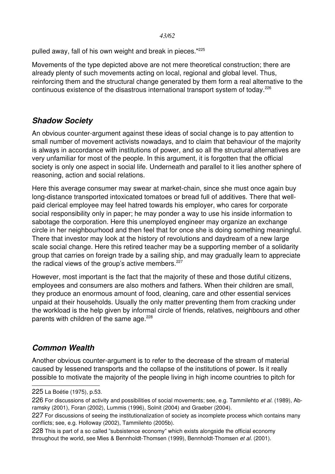pulled away, fall of his own weight and break in pieces."[225](#page-42-2)

Movements of the type depicted above are not mere theoretical construction; there are already plenty of such movements acting on local, regional and global level. Thus, reinforcing them and the structural change generated by them form a real alternative to the continuous existence of the disastrous international transport system of today.<sup>[226](#page-42-3)</sup>

### <span id="page-42-1"></span>*Shadow Society*

An obvious counter-argument against these ideas of social change is to pay attention to small number of movement activists nowadays, and to claim that behaviour of the majority is always in accordance with institutions of power, and so all the structural alternatives are very unfamiliar for most of the people. In this argument, it is forgotten that the official society is only one aspect in social life. Underneath and parallel to it lies another sphere of reasoning, action and social relations.

Here this average consumer may swear at market-chain, since she must once again buy long-distance transported intoxicated tomatoes or bread full of additives. There that wellpaid clerical employee may feel hatred towards his employer, who cares for corporate social responsibility only in paper; he may ponder a way to use his inside information to sabotage the corporation. Here this unemployed engineer may organize an exchange circle in her neighbourhood and then feel that for once she is doing something meaningful. There that investor may look at the history of revolutions and daydream of a new large scale social change. Here this retired teacher may be a supporting member of a solidarity group that carries on foreign trade by a sailing ship, and may gradually learn to appreciate the radical views of the group's active members. $227$ 

However, most important is the fact that the majority of these and those dutiful citizens, employees and consumers are also mothers and fathers. When their children are small, they produce an enormous amount of food, cleaning, care and other essential services unpaid at their households. Usually the only matter preventing them from cracking under the workload is the help given by informal circle of friends, relatives, neighbours and other parents with children of the same age.<sup>[228](#page-42-5)</sup>

### <span id="page-42-0"></span>*Common Wealth*

Another obvious counter-argument is to refer to the decrease of the stream of material caused by lessened transports and the collapse of the institutions of power. Is it really possible to motivate the majority of the people living in high income countries to pitch for

<span id="page-42-2"></span><sup>225</sup> La Boétie (1975), p.53.

<span id="page-42-3"></span><sup>226</sup> For discussions of activity and possibilities of social movements; see, e.g. Tammilehto *et al.* (1989), Abramsky (2001), Foran (2002), Lummis (1996), Solnit (2004) and Graeber (2004).

<span id="page-42-4"></span><sup>227</sup> For discussions of seeing the institutionalization of society as incomplete process which contains many conflicts; see, e.g. Holloway (2002), Tammilehto (2005b).

<span id="page-42-5"></span><sup>228</sup> This is part of a so called "subsistence economy" which exists alongside the official economy throughout the world, see Mies & Bennholdt-Thomsen (1999), Bennholdt-Thomsen *et al.* (2001).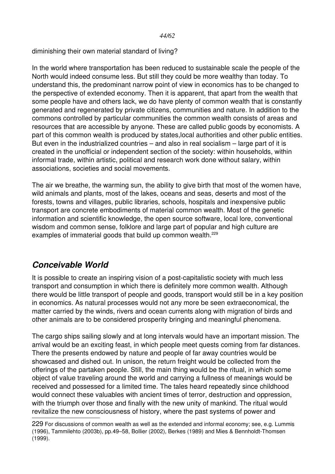diminishing their own material standard of living?

In the world where transportation has been reduced to sustainable scale the people of the North would indeed consume less. But still they could be more wealthy than today. To understand this, the predominant narrow point of view in economics has to be changed to the perspective of extended economy. Then it is apparent, that apart from the wealth that some people have and others lack, we do have plenty of common wealth that is constantly generated and regenerated by private citizens, communities and nature. In addition to the commons controlled by particular communities the common wealth consists of areas and resources that are accessible by anyone. These are called public goods by economists. A part of this common wealth is produced by states,local authorities and other public entities. But even in the industrialized countries – and also in real socialism – large part of it is created in the unofficial or independent section of the society: within households, within informal trade, within artistic, political and research work done without salary, within associations, societies and social movements.

The air we breathe, the warming sun, the ability to give birth that most of the women have, wild animals and plants, most of the lakes, oceans and seas, deserts and most of the forests, towns and villages, public libraries, schools, hospitals and inexpensive public transport are concrete embodiments of material common wealth. Most of the genetic information and scientific knowledge, the open source software, local lore, conventional wisdom and common sense, folklore and large part of popular and high culture are examples of immaterial goods that build up common wealth.<sup>[229](#page-43-1)</sup>

# <span id="page-43-0"></span>*Conceivable World*

It is possible to create an inspiring vision of a post-capitalistic society with much less transport and consumption in which there is definitely more common wealth. Although there would be little transport of people and goods, transport would still be in a key position in economics. As natural processes would not any more be seen extraeconomical, the matter carried by the winds, rivers and ocean currents along with migration of birds and other animals are to be considered prosperity bringing and meaningful phenomena.

The cargo ships sailing slowly and at long intervals would have an important mission. The arrival would be an exciting feast, in which people meet quests coming from far distances. There the presents endowed by nature and people of far away countries would be showcased and dished out. In unison, the return freight would be collected from the offerings of the partaken people. Still, the main thing would be the ritual, in which some object of value traveling around the world and carrying a fullness of meanings would be received and possessed for a limited time. The tales heard repeatedly since childhood would connect these valuables with ancient times of terror, destruction and oppression, with the triumph over those and finally with the new unity of mankind. The ritual would revitalize the new consciousness of history, where the past systems of power and

<span id="page-43-1"></span><sup>229</sup> For discussions of common wealth as well as the extended and informal economy; see, e.g. Lummis (1996), Tammilehto (2003b), pp.49–58, Bollier (2002), Berkes (1989) and Mies & Bennholdt-Thomsen (1999).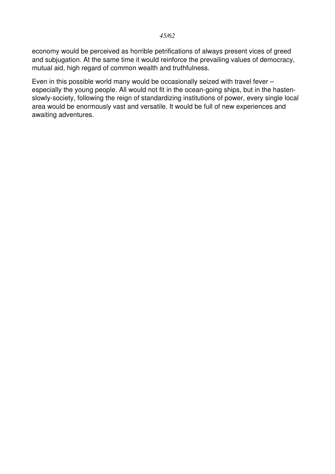#### *45/62*

economy would be perceived as horrible petrifications of always present vices of greed and subjugation. At the same time it would reinforce the prevailing values of democracy, mutual aid, high regard of common wealth and truthfulness.

Even in this possible world many would be occasionally seized with travel fever – especially the young people. All would not fit in the ocean-going ships, but in the hastenslowly-society, following the reign of standardizing institutions of power, every single local area would be enormously vast and versatile. It would be full of new experiences and awaiting adventures.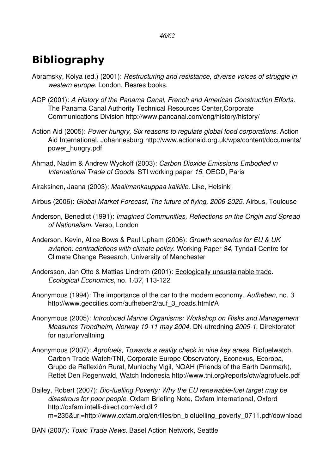# <span id="page-45-0"></span>**Bibliography**

- Abramsky, Kolya (ed.) (2001): *Restructuring and resistance, diverse voices of struggle in western europe*. London, Resres books.
- ACP (2001): *A History of the Panama Canal, French and American Construction Efforts*. The Panama Canal Authority Technical Resources Center,Corporate Communications Division http://www.pancanal.com/eng/history/history/
- Action Aid (2005): *Power hungry, Six reasons to regulate global food corporations*. Action Aid International, Johannesburg http://www.actionaid.org.uk/wps/content/documents/ power\_hungry.pdf
- Ahmad, Nadim & Andrew Wyckoff (2003): *Carbon Dioxide Emissions Embodied in International Trade of Goods*. STI working paper *15*, OECD, Paris
- Airaksinen, Jaana (2003): *Maailmankauppaa kaikille*. Like, Helsinki
- Airbus (2006): *Global Market Forecast, The future of flying, 2006-2025*. Airbus, Toulouse
- Anderson, Benedict (1991): *Imagined Communities, Reflections on the Origin and Spread of Nationalism*. Verso, London
- Anderson, Kevin, Alice Bows & Paul Upham (2006): *Growth scenarios for EU & UK aviation: contradictions with climate policy*. Working Paper *84*, Tyndall Centre for Climate Change Research, University of Manchester
- Andersson, Jan Otto & Mattias Lindroth (2001): Ecologically unsustainable trade. *Ecological Economics, no. 1/37, 113-122*
- Anonymous (1994): The importance of the car to the modern economy. *Aufheben*, no. 3 http://www.geocities.com/aufheben2/auf\_3\_roads.html#A
- Anonymous (2005): *Introduced Marine Organisms: Workshop on Risks and Management Measures Trondheim, Norway 10-11 may 2004.* DN-utredning *2005-1*, Direktoratet for naturforvaltning
- Anonymous (2007): *Agrofuels, Towards a reality check in nine key areas*. Biofuelwatch, Carbon Trade Watch/TNI, Corporate Europe Observatory, Econexus, Ecoropa, Grupo de Reflexión Rural, Munlochy Vigil, NOAH (Friends of the Earth Denmark), Rettet Den Regenwald, Watch Indonesia http://www.tni.org/reports/ctw/agrofuels.pdf
- Bailey, Robert (2007): *Bio-fuelling Poverty: Why the EU renewable-fuel target may be disastrous for poor people*. Oxfam Briefing Note, Oxfam International, Oxford http://oxfam.intelli-direct.com/e/d.dll? m=235&url=http://www.oxfam.org/en/files/bn\_biofuelling\_poverty\_0711.pdf/download
- BAN (2007): *Toxic Trade News*. Basel Action Network, Seattle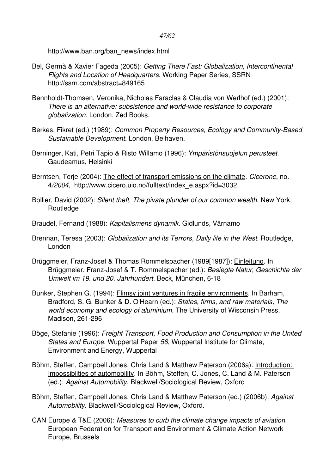http://www.ban.org/ban\_news/index.html

- Bel, Germà & Xavier Fageda (2005): *Getting There Fast: Globalization, Intercontinental Flights and Location of Headquarters*. Working Paper Series, SSRN http://ssrn.com/abstract=849165
- Bennholdt-Thomsen, Veronika, Nicholas Faraclas & Claudia von Werlhof (ed.) (2001): There is an alternative: subsistence and world-wide resistance to corporate *globalization*. London, Zed Books.
- Berkes, Fikret (ed.) (1989): *Common Property Resources, Ecology and Community-Based Sustainable Development*. London, Belhaven.
- Berninger, Kati, Petri Tapio & Risto Willamo (1996): *Ympäristönsuojelun perusteet*. Gaudeamus, Helsinki
- Berntsen, Terje (2004): The effect of transport emissions on the climate. *Cicerone*, no. 4*/2004*, http://www.cicero.uio.no/fulltext/index\_e.aspx?id=3032
- Bollier, David (2002): *Silent theft, The pivate plunder of our common wealth*. New York, **Routledge**
- Braudel, Fernand (1988): *Kapitalismens dynamik*. Gidlunds, Värnamo
- Brennan, Teresa (2003): *Globalization and its Terrors, Daily life in the West*. Routledge, London
- Brüggmeier, Franz-Josef & Thomas Rommelspacher (1989[1987]): Einleitung. In Brüggmeier, Franz-Josef & T. Rommelspacher (ed.): *Besiegte Natur, Geschichte der Umwelt im 19. und 20. Jahrhundert*. Beck, München, 618
- Bunker, Stephen G. (1994): Flimsy joint ventures in fragile environments. In Barham, Bradford, S. G. Bunker & D. O'Hearn (ed.): *States, firms, and raw materials, The world economy and ecology of aluminium*. The University of Wisconsin Press, Madison, 261-296
- Böge, Stefanie (1996): *Freight Transport, Food Production and Consumption in the United States and Europe*. Wuppertal Paper *56*, Wuppertal Institute for Climate, Environment and Energy, Wuppertal
- Böhm, Steffen, Campbell Jones, Chris Land & Matthew Paterson (2006a): Introduction: Impossiblities of automobility. In Böhm, Steffen, C. Jones, C. Land & M. Paterson (ed.): *Against Automobility*. Blackwell/Sociological Review, Oxford
- Böhm, Steffen, Campbell Jones, Chris Land & Matthew Paterson (ed.) (2006b): *Against Automobility*. Blackwell/Sociological Review, Oxford.
- CAN Europe & T&E (2006): *Measures to curb the climate change impacts of aviation*. European Federation for Transport and Environment & Climate Action Network Europe, Brussels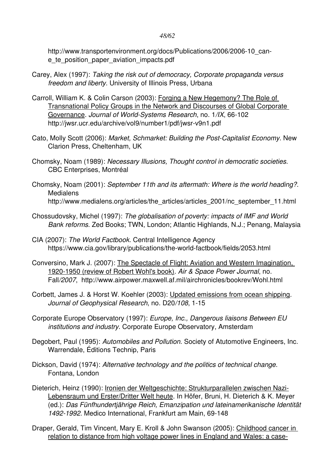#### *48/62*

http://www.transportenvironment.org/docs/Publications/2006/2006-10 cane\_te\_position\_paper\_aviation\_impacts.pdf

- Carey, Alex (1997): *Taking the risk out of democracy, Corporate propaganda versus freedom and liberty*. University of Illinois Press, Urbana
- Carroll, William K. & Colin Carson (2003): Forging a New Hegemony? The Role of Transnational Policy Groups in the Network and Discourses of Global Corporate Governance. *Journal of World-Systems Research*, no. 1/IX, 66-102 http://jwsr.ucr.edu/archive/vol9/number1/pdf/jwsr-v9n1.pdf
- Cato, Molly Scott (2006): Market, Schmarket: Building the Post-Capitalist Economy. New Clarion Press, Cheltenham, UK
- Chomsky, Noam (1989): *Necessary Illusions, Thought control in democratic societies*. CBC Enterprises, Montréal
- Chomsky, Noam (2001): *September 11th and its aftermath: Where is the world heading?*. **Medialens** http://www.medialens.org/articles/the\_articles/articles\_2001/nc\_september\_11.html
- Chossudovsky, Michel (1997): *The globalisation of poverty: impacts of IMF and World Bank reforms*. Zed Books; TWN, London; Atlantic Highlands, N.J.; Penang, Malaysia
- CIA (2007): *The World Factbook*. Central Intelligence Agency https://www.cia.gov/library/publications/the-world-factbook/fields/2053.html
- Conversino, Mark J. (2007): The Spectacle of Flight: Aviation and Western Imagination, 1920-1950 (review of Robert Wohl's book). Air & Space Power Journal, no. Fall*/2007*, http://www.airpower.maxwell.af.mil/airchronicles/bookrev/Wohl.html
- Corbett, James J. & Horst W. Koehler (2003): Updated emissions from ocean shipping. *Journal of Geophysical Research, no. D20/108, 1-15*
- Corporate Europe Observatory (1997): *Europe, Inc., Dangerous liaisons Between EU institutions and industry*. Corporate Europe Observatory, Amsterdam
- Degobert, Paul (1995): *Automobiles and Pollution*. Society of Atutomotive Engineers, Inc. Warrendale, Éditions Technip, Paris
- Dickson, David (1974): *Alternative technology and the politics of technical change*. Fontana, London
- Dieterich, Heinz (1990): Ironien der Weltgeschichte: Strukturparallelen zwischen Nazi-Lebensraum und Erster/Dritter Welt heute. In Höfer, Bruni, H. Dieterich & K. Meyer (ed.): *Das Fünfhundertjährige Reich, Emanzipation und lateinamerikanische Identität* 1492-1992. Medico International, Frankfurt am Main, 69-148
- Draper, Gerald, Tim Vincent, Mary E. Kroll & John Swanson (2005): Childhood cancer in relation to distance from high voltage power lines in England and Wales: a case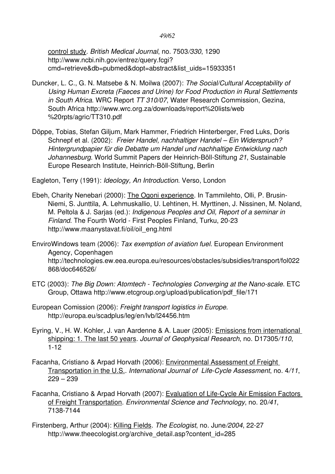control study. *British Medical Journal*, no. 7503*/330*, 1290 http://www.ncbi.nih.gov/entrez/query.fcgi? cmd=retrieve&db=pubmed&dopt=abstract&list\_uids=15933351

- Duncker, L. C., G. N. Matsebe & N. Moilwa (2007): *The Social/Cultural Acceptability of Using Human Excreta (Faeces and Urine) for Food Production in Rural Settlements in South Africa*. WRC Report *TT 310/07*, Water Research Commission, Gezina, South Africa http://www.wrc.org.za/downloads/report%20lists/web %20rpts/agric/TT310.pdf
- Döppe, Tobias, Stefan Giljum, Mark Hammer, Friedrich Hinterberger, Fred Luks, Doris Schnepf et al. (2002):  *Freier Handel, nachhaltiger Handel – Ein Widerspruch? Hintergrundpapier für die Debatte um Handel und nachhaltige Entwicklung nach* Johannesburg. World Summit Papers der Heinrich-Böll-Stiftung 21, Sustainable Europe Research Institute, Heinrich-Böll-Stiftung, Berlin

Eagleton, Terry (1991): *Ideology, An Introduction*. Verso, London

- Ebeh, Charity Nenebari (2000): The Ogoni experience. In Tammilehto, Olli, P. Brusin-Niemi, S. Junttila, A. Lehmuskallio, U. Lehtinen, H. Myrttinen, J. Nissinen, M. Noland, M. Peltola & J. Sarjas (ed.): *Indigenous Peoples and Oil, Report of a seminar in* **Finland. The Fourth World - First Peoples Finland, Turku, 20-23** http://www.maanystavat.fi/oil/oil\_eng.html
- EnviroWindows team (2006): *Tax exemption of aviation fuel*. European Environment Agency, Copenhagen http://technologies.ew.eea.europa.eu/resources/obstacles/subsidies/transport/fol022 868/doc646526/
- ETC (2003): The Big Down: Atomtech Technologies Converging at the Nano-scale. ETC Group, Ottawa http://www.etcgroup.org/upload/publication/pdf\_file/171
- European Comission (2006): *Freight transport logistics in Europe*. http://europa.eu/scadplus/leg/en/lvb/l24456.htm
- Eyring, V., H. W. Kohler, J. van Aardenne & A. Lauer (2005): Emissions from international shipping: 1. The last 50 years. *Journal of Geophysical Research*, no. D17305*/110*,  $1 - 12$
- Facanha, Cristiano & Arpad Horvath (2006): Environmental Assessment of Freight Transportation in the U.S.. *International Journal of LifeCycle Assessment*, no. 4*/11*, 229 – 239
- Facanha, Cristiano & Arpad Horvath (2007): Evaluation of Life-Cycle Air Emission Factors of Freight Transportation. *Environmental Science and Technology*, no. 20*/41*, 7138-7144
- Firstenberg, Arthur (2004): Killing Fields. *The Ecologist*, no. June*/2004*, 2227 http://www.theecologist.org/archive\_detail.asp?content\_id=285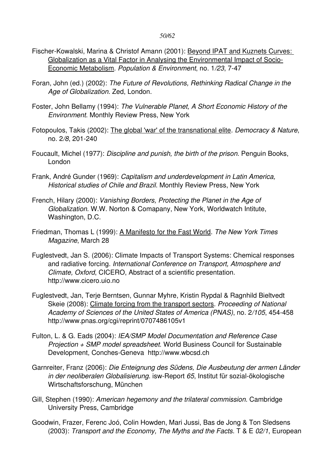- Fischer-Kowalski, Marina & Christof Amann (2001): Beyond IPAT and Kuznets Curves: Globalization as a Vital Factor in Analysing the Environmental Impact of Socio-Economic Metabolism. *Population & Environment*, no. 1*/23*, 747
- Foran, John (ed.) (2002): *The Future of Revolutions, Rethinking Radical Change in the Age of Globalization*. Zed, London.
- Foster, John Bellamy (1994): *The Vulnerable Planet, A Short Economic History of the Environment*. Monthly Review Press, New York
- Fotopoulos, Takis (2002): The global 'war' of the transnational elite. *Democracy & Nature*, no. 2/8, 201-240
- Foucault, Michel (1977): *Discipline and punish, the birth of the prison*. Penguin Books, London
- Frank, André Gunder (1969): *Capitalism and underdevelopment in Latin America, Historical studies of Chile and Brazil*. Monthly Review Press, New York
- French, Hilary (2000): *Vanishing Borders, Protecting the Planet in the Age of Globalization*. W.W. Norton & Comapany, New York, Worldwatch Intitute, Washington, D.C.
- Friedman, Thomas L (1999): A Manifesto for the Fast World. *The New York Times Magazine*, March 28
- Fuglestvedt, Jan S. (2006): Climate Impacts of Transport Systems: Chemical responses and radiative forcing. *International Conference on Transport, Atmosphere and Climate, Oxford*, CICERO, Abstract of a scientific presentation. http://www.cicero.uio.no
- Fuglestvedt, Jan, Terje Berntsen, Gunnar Myhre, Kristin Rypdal & Ragnhild Bieltvedt Skeie (2008): Climate forcing from the transport sectors. *Proceeding of National* Academy of Sciences of the United States of America (PNAS), no. 2/105, 454-458 http://www.pnas.org/cgi/reprint/0707486105v1
- Fulton, L. & G. Eads (2004): *IEA/SMP Model Documentation and Reference Case Projection + SMP model spreadsheet*. World Business Council for Sustainable Development, Conches-Geneva http://www.wbcsd.ch
- Garnreiter, Franz (2006): *Die Enteignung des Südens, Die Ausbeutung der armen Länder in der neoliberalen Globalisierung.* isw-Report 65, Institut für sozial-ökologische Wirtschaftsforschung, München
- Gill, Stephen (1990): *American hegemony and the trilateral commission*. Cambridge University Press, Cambridge
- Goodwin, Frazer, Ferenc Joó, Colin Howden, Mari Jussi, Bas de Jong & Ton Sledsens (2003): *Transport and the Economy, The Myths and the Facts*. T & E *02/1*, European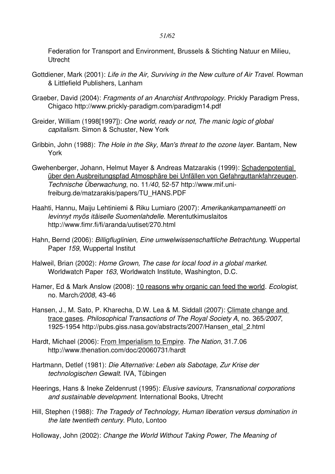Federation for Transport and Environment, Brussels & Stichting Natuur en Milieu, Utrecht

- Gottdiener, Mark (2001): *Life in the Air, Surviving in the New culture of Air Travel*. Rowman & Littlefield Publishers, Lanham
- Graeber, David (2004): *Fragments of an Anarchist Anthropology*. Prickly Paradigm Press, Chigaco http://www.prickly-paradigm.com/paradigm14.pdf
- Greider, William (1998[1997]): *One world, ready or not, The manic logic of global capitalism*. Simon & Schuster, New York
- Gribbin, John (1988): *The Hole in the Sky, Man's threat to the ozone layer*. Bantam, New York
- Gwehenberger, Johann, Helmut Mayer & Andreas Matzarakis (1999): Schadenpotential über den Ausbreitungspfad Atmosphäre bei Unfällen von Gefahrguttankfahrzeugen. *Technische Überwachung*, no. 11*/40*, 5257 http://www.mif.unifreiburg.de/matzarakis/papers/TU\_HANS.PDF
- Haahti, Hannu, Maiju Lehtiniemi & Riku Lumiaro (2007): *Amerikankampamaneetti on levinnyt myös itäiselle Suomenlahdelle*. Merentutkimuslaitos http://www.fimr.fi/fi/aranda/uutiset/270.html
- Hahn, Bernd (2006): *Billigfluglinien, Eine umwelwissenschaftliche Betrachtung*. Wuppertal Paper *159*, Wuppertal Institut
- Halweil, Brian (2002): *Home Grown, The case for local food in a global market*. Worldwatch Paper *163*, Worldwatch Institute, Washington, D.C.
- Hamer, Ed & Mark Anslow (2008): 10 reasons why organic can feed the world. *Ecologist*, no. March/2008, 43-46
- Hansen, J., M. Sato, P. Kharecha, D.W. Lea & M. Siddall (2007): Climate change and trace gases. *Philosophical Transactions of The Royal Society A*, no. 365*/2007*, 19251954 http://pubs.giss.nasa.gov/abstracts/2007/Hansen\_etal\_2.html
- Hardt, Michael (2006): From Imperialism to Empire. *The Nation*, 31.7.06 http://www.thenation.com/doc/20060731/hardt
- Hartmann, Detlef (1981): *Die Alternative: Leben als Sabotage, Zur Krise der technologischen Gewalt*. IVA, Tübingen
- Heerings, Hans & Ineke Zeldenrust (1995): *Elusive saviours, Transnational corporations and sustainable development*. International Books, Utrecht
- Hill, Stephen (1988): *The Tragedy of Technology, Human liberation versus domination in the late twentieth century*. Pluto, Lontoo
- Holloway, John (2002): *Change the World Without Taking Power, The Meaning of*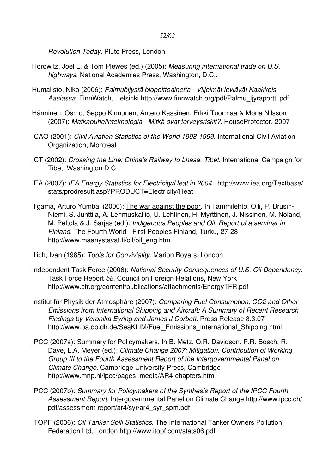*Revolution Today*. Pluto Press, London

- Horowitz, Joel L. & Tom Plewes (ed.) (2005): *Measuring international trade on U.S. highways*. National Academies Press, Washington, D.C..
- Humalisto, Niko (2006): *Palmuöljystä biopolttoainetta Viljelmät leviävät Kaakkois-Aasiassa*. FinnWatch, Helsinki http://www.finnwatch.org/pdf/Palmu\_ljyraportti.pdf
- Hänninen, Osmo, Seppo Kinnunen, Antero Kassinen, Erkki Tuormaa & Mona Nilsson (2007): *Matkapuhelinteknologia Mitkä ovat terveysriskit?*. HouseProtector, 2007
- ICAO (2001): *Civil Aviation Statistics of the World 1998-1999*. International Civil Aviation Organization, Montreal
- ICT (2002): *Crossing the Line: China's Railway to Lhasa, Tibet*. International Campaign for Tibet, Washington D.C.
- IEA (2007): *IEA Energy Statistics for Electricity/Heat in 2004*. http://www.iea.org/Textbase/ stats/prodresult.asp?PRODUCT=Electricity/Heat
- Iligama, Arturo Yumbai (2000): The war against the poor. In Tammilehto, Olli, P. Brusin-Niemi, S. Junttila, A. Lehmuskallio, U. Lehtinen, H. Myrttinen, J. Nissinen, M. Noland, M. Peltola & J. Sarjas (ed.): *Indigenous Peoples and Oil, Report of a seminar in Finland*. The Fourth World - First Peoples Finland, Turku, 27-28 http://www.maanystavat.fi/oil/oil\_eng.html
- Illich, Ivan (1985): *Tools for Conviviality*. Marion Boyars, London
- Independent Task Force (2006): *National Security Consequences of U.S. Oil Dependency*. Task Force Report *58*, Council on Foreign Relations, New York http://www.cfr.org/content/publications/attachments/EnergyTFR.pdf
- Institut für Physik der Atmosphäre (2007): *Comparing Fuel Consumption, CO2 and Other Emissions from International Shipping and Aircraft: A Summary of Recent Research Findings by Veronika Eyring and James J Corbett*. Press Release 8.3.07 http://www.pa.op.dlr.de/SeaKLIM/Fuel\_Emissions\_International\_Shipping.html
- IPCC (2007a): Summary for Policymakers. In B. Metz, O.R. Davidson, P.R. Bosch, R. Dave, L.A. Meyer (ed.): *Climate Change 2007: Mitigation. Contribution of Working Group III to the Fourth Assessment Report of the Intergovernmental Panel on Climate Change*. Cambridge University Press, Cambridge http://www.mnp.nl/ipcc/pages\_media/AR4-chapters.html
- IPCC (2007b): *Summary for Policymakers of the Synthesis Report of the IPCC Fourth Assessment Report*. Intergovernmental Panel on Climate Change http://www.ipcc.ch/ pdf/assessment-report/ar4/syr/ar4\_syr\_spm.pdf
- ITOPF (2006): *Oil Tanker Spill Statistics*. The International Tanker Owners Pollution Federation Ltd, London http://www.itopf.com/stats06.pdf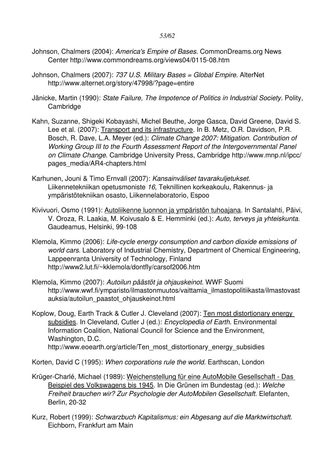- Johnson, Chalmers (2004): *America's Empire of Bases*. CommonDreams.org News Center http://www.commondreams.org/views04/0115-08.htm
- Johnson, Chalmers (2007): *737 U.S. Military Bases = Global Empire*. AlterNet http://www.alternet.org/story/47998/?page=entire
- Jänicke, Martin (1990): *State Failure, The Impotence of Politics in Industrial Society*. Polity, **Cambridge**
- Kahn, Suzanne, Shigeki Kobayashi, Michel Beuthe, Jorge Gasca, David Greene, David S. Lee et al. (2007): Transport and its infrastructure. In B. Metz, O.R. Davidson, P.R. Bosch, R. Dave, L.A. Meyer (ed.): *Climate Change 2007: Mitigation. Contribution of Working Group III to the Fourth Assessment Report of the Intergovernmental Panel on Climate Change*. Cambridge University Press, Cambridge http://www.mnp.nl/ipcc/ pages\_media/AR4-chapters.html
- Karhunen, Jouni & Timo Ernvall (2007): *Kansainväliset tavarakuljetukset*. Liikennetekniikan opetusmoniste 16, Teknillinen korkeakoulu, Rakennus- ja ympäristötekniikan osasto, Liikennelaboratorio, Espoo
- Kivivuori, Osmo (1991): Autoliikenne luonnon ja ympäristön tuhoajana. In Santalahti, Päivi, V. Oroza, R. Laakia, M. Koivusalo & E. Hemminki (ed.): *Auto, terveys ja yhteiskunta*. Gaudeamus, Helsinki, 99-108
- Klemola, Kimmo (2006): *Life-cycle energy consumption and carbon dioxide emissions of world cars*. Laboratory of Industrial Chemistry, Department of Chemical Engineering, Lappeenranta University of Technology, Finland http://www2.lut.fi/~kklemola/dontfly/carsof2006.htm
- Klemola, Kimmo (2007): *Autoilun päästöt ja ohjauskeinot*. WWF Suomi http://www.wwf.fi/ymparisto/ilmastonmuutos/vaittamia\_ilmastopolitiikasta/ilmastovast auksia/autoilun\_paastot\_ohjauskeinot.html
- Koplow, Doug, Earth Track & Cutler J. Cleveland (2007): Ten most distortionary energy subsidies. In Cleveland, Cutler J (ed.): *Encyclopedia of Earth*. Environmental Information Coalition, National Council for Science and the Environment, Washington, D.C. http://www.eoearth.org/article/Ten\_most\_distortionary\_energy\_subsidies
- Korten, David C (1995): *When corporations rule the world*. Earthscan, London
- Krüger-Charlé, Michael (1989): Weichenstellung für eine AutoMobile Gesellschaft Das Beispiel des Volkswagens bis 1945. In Die Grünen im Bundestag (ed.): *Welche Freiheit brauchen wir? Zur Psychologie der AutoMobilen Gesellschaft*. Elefanten, Berlin, 20-32
- Kurz, Robert (1999): *Schwarzbuch Kapitalismus: ein Abgesang auf die Marktwirtschaft*. Eichborn, Frankfurt am Main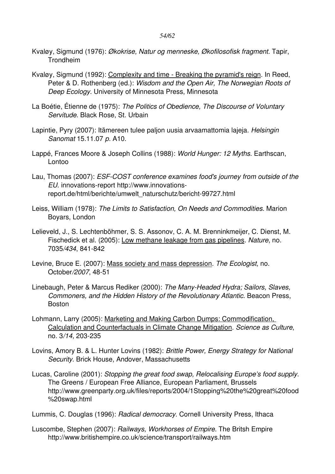- Kvaløy, Sigmund (1976): *Økokrise, Natur og menneske, Økofilosofisk fragment*. Tapir, **Trondheim**
- Kvaløy, Sigmund (1992): Complexity and time Breaking the pyramid's reign. In Reed, Peter & D. Rothenberg (ed.): *Wisdom and the Open Air, The Norwegian Roots of Deep Ecology*. University of Minnesota Press, Minnesota
- La Boétie, Étienne de (1975): *The Politics of Obedience, The Discourse of Voluntary Servitude*. Black Rose, St. Urbain
- Lapintie, Pyry (2007): Itämereen tulee paljon uusia arvaamattomia lajeja. *Helsingin Sanomat* 15.11.07 *p.* A10.
- Lappé, Frances Moore & Joseph Collins (1988): *World Hunger: 12 Myths*. Earthscan, Lontoo
- Lau, Thomas (2007): *ESF-COST conference examines food's journey from outside of the EU*. innovations-report http://www.innovationsreport.de/html/berichte/umwelt\_naturschutz/bericht-99727.html
- Leiss, William (1978): *The Limits to Satisfaction, On Needs and Commodities*. Marion Boyars, London
- Lelieveld, J., S. Lechtenböhmer, S. S. Assonov, C. A. M. Brenninkmeijer, C. Dienst, M. Fischedick et al. (2005): Low methane leakage from gas pipelines. *Nature*, no. 7035/434, 841-842
- Levine, Bruce E. (2007): Mass society and mass depression. *The Ecologist*, no. October/2007, 48-51
- Linebaugh, Peter & Marcus Rediker (2000): *The Many-Headed Hydra: Sailors, Slaves, Commoners, and the Hidden History of the Revolutionary Atlantic*. Beacon Press, Boston
- Lohmann, Larry (2005): Marketing and Making Carbon Dumps: Commodification, Calculation and Counterfactuals in Climate Change Mitigation. *Science as Culture*, no. 3/14, 203-235
- Lovins, Amory B. & L. Hunter Lovins (1982): *Brittle Power, Energy Strategy for National Security*. Brick House, Andover, Massachusetts
- Lucas, Caroline (2001): *Stopping the great food swap, Relocalising Europe's food supply*. The Greens / European Free Alliance, European Parliament, Brussels http://www.greenparty.org.uk/files/reports/2004/1Stopping%20the%20great%20food %20swap.html

Lummis, C. Douglas (1996): *Radical democracy*. Cornell University Press, Ithaca

Luscombe, Stephen (2007): *Railways, Workhorses of Empire*. The Britsh Empire http://www.britishempire.co.uk/science/transport/railways.htm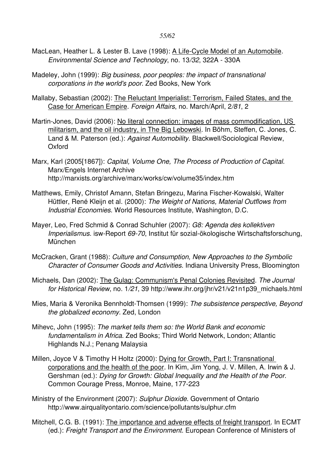- MacLean, Heather L. & Lester B. Lave (1998): A Life-Cycle Model of an Automobile. *Environmental Science and Technology*, no. 13/32, 322A - 330A
- Madeley, John (1999): *Big business, poor peoples: the impact of transnational corporations in the world's poor*. Zed Books, New York
- Mallaby, Sebastian (2002): The Reluctant Imperialist: Terrorism, Failed States, and the Case for American Empire. *Foreign Affairs*, no. March/April, 2*/81*, 2
- Martin-Jones, David (2006): No literal connection: images of mass commodification, US militarism, and the oil industry, in The Big Lebowski. In Böhm, Steffen, C. Jones, C. Land & M. Paterson (ed.): *Against Automobility*. Blackwell/Sociological Review, Oxford
- Marx, Karl (2005[1867]): *Capital, Volume One, The Process of Production of Capital*. Marx/Engels Internet Archive http://marxists.org/archive/marx/works/cw/volume35/index.htm
- Matthews, Emily, Christof Amann, Stefan Bringezu, Marina Fischer-Kowalski, Walter Hüttler, René Kleijn et al. (2000): *The Weight of Nations, Material Outflows from Industrial Economies*. World Resources Institute, Washington, D.C.
- Mayer, Leo, Fred Schmid & Conrad Schuhler (2007): *G8: Agenda des kollektiven Imperialismus.* isw-Report 69-70, Institut für sozial-ökologische Wirtschaftsforschung, München
- McCracken, Grant (1988): *Culture and Consumption, New Approaches to the Symbolic Character of Consumer Goods and Activities*. Indiana University Press, Bloomington
- Michaels, Dan (2002): The Gulag: Communism's Penal Colonies Revisited. *The Journal for Historical Review*, no. 1*/21*, 39 http://www.ihr.org/jhr/v21/v21n1p39\_michaels.html
- Mies, Maria & Veronika Bennholdt-Thomsen (1999): *The subsistence perspective, Beyond the globalized economy*. Zed, London
- Mihevc, John (1995): *The market tells them so: the World Bank and economic fundamentalism in Africa*. Zed Books; Third World Network, London; Atlantic Highlands N.J.; Penang Malaysia
- Millen, Joyce V & Timothy H Holtz (2000): Dying for Growth, Part I: Transnational corporations and the health of the poor. In Kim, Jim Yong, J. V. Millen, A. Irwin & J. Gershman (ed.): *Dying for Growth: Global Inequality and the Health of the Poor*. Common Courage Press, Monroe, Maine, 177-223
- Ministry of the Environment (2007): *Sulphur Dioxide*. Government of Ontario http://www.airqualityontario.com/science/pollutants/sulphur.cfm
- Mitchell, C.G. B. (1991): The importance and adverse effects of freight transport. In ECMT (ed.): *Freight Transport and the Environment*. European Conference of Ministers of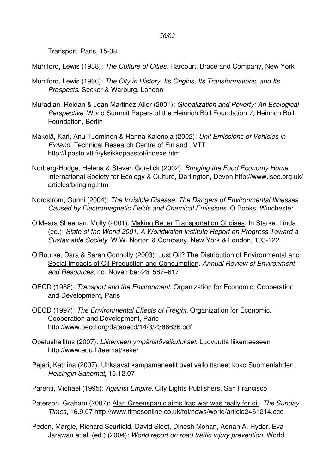Transport, Paris, 15-38

Mumford, Lewis (1938): *The Culture of Cities*. Harcourt, Brace and Company, New York

- Mumford, Lewis (1966): *The City in History, Its Origins, Its Transformations, and Its Prospects*. Secker & Warburg, London
- Muradian, Roldan & Joan Martinez-Alier (2001): *Globalization and Poverty: An Ecological Perspective*. World Summit Papers of the Heinrich Böll Foundation *7*, Heinrich Böll Foundation, Berlin
- Mäkelä, Kari, Anu Tuominen & Hanna Kalenoja (2002): *Unit Emissions of Vehicles in Finland*. Technical Research Centre of Finland , VTT http://lipasto.vtt.fi/yksikkopaastot/indexe.htm
- Norberg-Hodge, Helena & Steven Gorelick (2002): *Bringing the Food Economy Home*. International Society for Ecology & Culture, Dartington, Devon http://www.isec.org.uk/ articles/bringing.html
- Nordstrom, Gunni (2004): *The Invisible Disease: The Dangers of Environmental Illnesses Caused by Electromagnetic Fields and Chemical Emissions*. O Books, Winchester
- O'Meara Sheehan, Molly (2001): Making Better Transportation Choises. In Starke, Linda (ed.): *State of the World 2001, A Worldwatch Institute Report on Progress Toward a Sustainable Society.* W.W. Norton & Company, New York & London, 103-122
- O'Rourke, Dara & Sarah Connolly (2003): Just Oil? The Distribution of Environmental and Social Impacts of Oil Production and Consumption. *Annual Review of Environment and Resources*, no. November*/28*, 587–617
- OECD (1988): *Transport and the Environment*. Organization for Economic. Cooperation and Development, Paris
- OECD (1997): *The Environmental Effects of Freight*. Organization for Economic. Cooperation and Development, Paris http://www.oecd.org/dataoecd/14/3/2386636.pdf
- Opetushallitus (2007): *Liikenteen ympäristövaikutukset*. Luovuutta liikenteeseen http://www.edu.fi/teemat/keke/
- Pajari, Katriina (2007): Uhkaavat kampamaneetit ovat valloittaneet koko Suomenlahden. *Helsingin Sanomat*, 15.12.07
- Parenti, Michael (1995): *Against Empire*. City Lights Publishers, San Francisco
- Paterson, Graham (2007): Alan Greenspan claims Iraq war was really for oil. *The Sunday Times*, 16.9.07 http://www.timesonline.co.uk/tol/news/world/article2461214.ece
- Peden, Margie, Richard Scurfield, David Sleet, Dinesh Mohan, Adnan A. Hyder, Eva Jarawan et al. (ed.) (2004): *World report on road traffic injury prevention*. World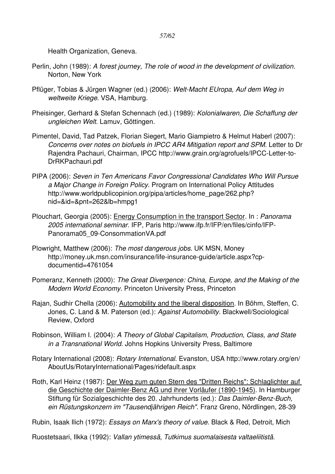Health Organization, Geneva.

- Perlin, John (1989): *A forest journey, The role of wood in the development of civilization*. Norton, New York
- Pflüger, Tobias & Jürgen Wagner (ed.) (2006): Welt-Macht EUropa, Auf dem Weg in *weltweite Kriege*. VSA, Hamburg.
- Pheisinger, Gerhard & Stefan Schennach (ed.) (1989): *Kolonialwaren, Die Schaffung der ungleichen Welt*. Lamuv, Göttingen.
- Pimentel, David, Tad Patzek, Florian Siegert, Mario Giampietro & Helmut Haberl (2007): *Concerns over notes on biofuels in IPCC AR4 Mitigation report and SPM*. Letter to Dr Rajendra Pachauri, Chairman, IPCC http://www.grain.org/agrofuels/IPCC-Letter-to-DrRKPachauri.pdf
- PIPA (2006): *Seven in Ten Americans Favor Congressional Candidates Who Will Pursue a Major Change in Foreign Policy*. Program on International Policy Attitudes http://www.worldpublicopinion.org/pipa/articles/home\_page/262.php? nid=&id=&pnt=262&lb=hmpg1
- Plouchart, Georgia (2005): Energy Consumption in the transport Sector. In : *Panorama 2005 international seminar*. IFP, Paris http://www.ifp.fr/IFP/en/files/cinfo/IFP-Panorama05\_09-ConsommationVA.pdf
- Plowright, Matthew (2006): *The most dangerous jobs*. UK MSN, Money http://money.uk.msn.com/insurance/life-insurance-quide/article.aspx?cpdocumentid=4761054
- Pomeranz, Kenneth (2000): *The Great Divergence: China, Europe, and the Making of the Modern World Economy*. Princeton University Press, Princeton
- Rajan, Sudhir Chella (2006): Automobility and the liberal disposition. In Böhm, Steffen, C. Jones, C. Land & M. Paterson (ed.): *Against Automobility*. Blackwell/Sociological Review, Oxford
- Robinson, William I. (2004): *A Theory of Global Capitalism, Production, Class, and State in a Transnational World*. Johns Hopkins University Press, Baltimore
- Rotary International (2008): *Rotary International*. Evanston, USA http://www.rotary.org/en/ AboutUs/RotaryInternational/Pages/ridefault.aspx
- Roth, Karl Heinz (1987): Der Weg zum guten Stern des "Dritten Reichs": Schlaglichter auf die Geschichte der Daimler-Benz AG und ihrer Vorläufer (1890-1945). In Hamburger Stiftung für Sozialgeschichte des 20. Jahrhunderts (ed.): *Das Daimler-Benz-Buch*, ein Rüstungskonzern im "Tausendjährigen Reich". Franz Greno, Nördlingen, 28-39

Rubin, Isaak Ilich (1972): *Essays on Marx's theory of value*. Black & Red, Detroit, Mich

Ruostetsaari, Ilkka (1992): *Vallan ytimessä, Tutkimus suomalaisesta valtaeliitistä*.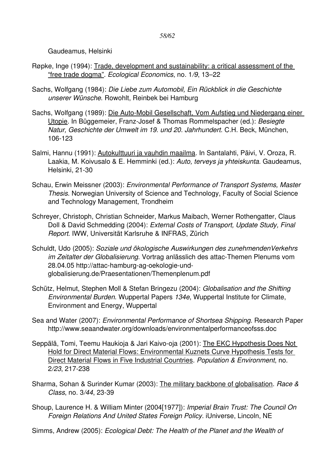Gaudeamus, Helsinki

- Røpke, Inge (1994): Trade, development and sustainability: a critical assessment of the "free trade dogma". *Ecological Economics*, no. 1*/9*, 13–22
- Sachs, Wolfgang (1984): *Die Liebe zum Automobil, Ein Rückblick in die Geschichte unserer Wünsche*. Rowohlt, Reinbek bei Hamburg
- Sachs, Wolfgang (1989): Die Auto-Mobil Gesellschaft, Vom Aufstieg und Niedergang einer Utopie. In Büggemeier, Franz-Josef & Thomas Rommelspacher (ed.): *Besiegte Natur, Geschichte der Umwelt im 19. und 20. Jahrhundert*. C.H. Beck, München, 106-123
- Salmi, Hannu (1991): Autokulttuuri ja vauhdin maailma. In Santalahti, Päivi, V. Oroza, R. Laakia, M. Koivusalo & E. Hemminki (ed.): *Auto, terveys ja yhteiskunta*. Gaudeamus, Helsinki, 21-30
- Schau, Erwin Meissner (2003): *Environmental Performance of Transport Systems, Master Thesis*. Norwegian University of Science and Technology, Faculty of Social Science and Technology Management, Trondheim
- Schreyer, Christoph, Christian Schneider, Markus Maibach, Werner Rothengatter, Claus Doll & David Schmedding (2004): *External Costs of Transport, Update Study, Final Report*. IWW, Universität Karlsruhe & INFRAS, Zürich
- Schuldt, Udo (2005): *Soziale und ökologische Auswirkungen des zunehmendenVerkehrs im Zeitalter der Globalisierung*. Vortrag anlässlich des attac-Themen Plenums vom 28.04.05 http://attac-hamburg-ag-oekologie-undglobalisierung.de/Praesentationen/Themenplenum.pdf
- Schütz, Helmut, Stephen Moll & Stefan Bringezu (2004): *Globalisation and the Shifting Environmental Burden*. Wuppertal Papers *134e*, Wuppertal Institute for Climate, Environment and Energy, Wuppertal
- Sea and Water (2007): *Environmental Performance of Shortsea Shipping*. Research Paper http://www.seaandwater.org/downloads/environmentalperformanceofsss.doc
- Seppälä, Tomi, Teemu Haukioja & Jari Kaivo-oja (2001): The EKC Hypothesis Does Not Hold for Direct Material Flows: Environmental Kuznets Curve Hypothesis Tests for Direct Material Flows in Five Industrial Countries. *Population & Environment*, no. 2/23, 217-238
- Sharma, Sohan & Surinder Kumar (2003): The military backbone of globalisation. *Race & Class*, no. 3/44, 23-39
- Shoup, Laurence H. & William Minter (2004[1977]): *Imperial Brain Trust: The Council On Foreign Relations And United States Foreign Policy*. iUniverse, Lincoln, NE
- Simms, Andrew (2005): *Ecological Debt: The Health of the Planet and the Wealth of*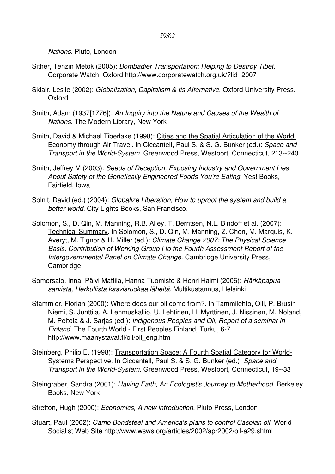*Nations*. Pluto, London

- Sither, Tenzin Metok (2005): *Bombadier Transportation: Helping to Destroy Tibet*. Corporate Watch, Oxford http://www.corporatewatch.org.uk/?lid=2007
- Sklair, Leslie (2002): *Globalization, Capitalism & Its Alternative*. Oxford University Press, Oxford
- Smith, Adam (1937[1776]): *An Inquiry into the Nature and Causes of the Wealth of Nations*. The Modern Library, New York
- Smith, David & Michael Tiberlake (1998): Cities and the Spatial Articulation of the World Economy through Air Travel. In Ciccantell, Paul S. & S. G. Bunker (ed.): *Space and Transport in the World-System.* Greenwood Press, Westport, Connecticut, 213--240
- Smith, Jeffrey M (2003): *Seeds of Deception, Exposing Industry and Government Lies About Safety of the Genetically Engineered Foods You're Eating*. Yes! Books, Fairfield, Iowa
- Solnit, David (ed.) (2004): *Globalize Liberation, How to uproot the system and build a better world*. City Lights Books, San Francisco.
- Solomon, S., D. Qin, M. Manning, R.B. Alley, T. Berntsen, N.L. Bindoff et al. (2007): Technical Summary. In Solomon, S., D. Qin, M. Manning, Z. Chen, M. Marquis, K. Averyt, M. Tignor & H. Miller (ed.): *Climate Change 2007: The Physical Science Basis. Contribution of Working Group I to the Fourth Assessment Report of the Intergovernmental Panel on Climate Change*. Cambridge University Press, Cambridge
- Somersalo, Inna, Päivi Mattila, Hanna Tuomisto & Henri Haimi (2006): *Härkäpapua sarvista, Herkullista kasvisruokaa läheltä*. Multikustannus, Helsinki
- Stammler, Florian (2000): Where does our oil come from?. In Tammilehto, Olli, P. Brusin-Niemi, S. Junttila, A. Lehmuskallio, U. Lehtinen, H. Myrttinen, J. Nissinen, M. Noland, M. Peltola & J. Sarjas (ed.): *Indigenous Peoples and Oil, Report of a seminar in Finland*. The Fourth World - First Peoples Finland, Turku, 6-7 http://www.maanystavat.fi/oil/oil\_eng.html
- Steinberg, Philip E. (1998): Transportation Space: A Fourth Spatial Category for World-Systems Perspective. In Ciccantell, Paul S. & S. G. Bunker (ed.): *Space and Transport in the World-System.* Greenwood Press, Westport, Connecticut, 19--33
- Steingraber, Sandra (2001): *Having Faith, An Ecologist's Journey to Motherhood*. Berkeley Books, New York
- Stretton, Hugh (2000): *Economics, A new introduction*. Pluto Press, London
- Stuart, Paul (2002): *Camp Bondsteel and America's plans to control Caspian oil*. World Socialist Web Site http://www.wsws.org/articles/2002/apr2002/oil-a29.shtml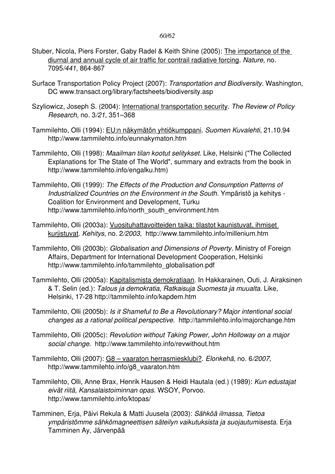#### *60/62*

- Stuber, Nicola, Piers Forster, Gaby Radel & Keith Shine (2005): The importance of the diurnal and annual cycle of air traffic for contrail radiative forcing. *Nature*, no. 7095/441, 864-867
- Surface Transportation Policy Project (2007): *Transportation and Biodiversity*. Washington, DC www.transact.org/library/factsheets/biodiversity.asp
- Szyliowicz, Joseph S. (2004): International transportation security. *The Review of Policy Research*, no. 3*/21*, 351–368
- Tammilehto, Olli (1994): EU:n näkymätön yhtiökumppani. *Suomen Kuvalehti*, 21.10.94 http://www.tammilehto.info/eunnakymaton.htm
- Tammilehto, Olli (1998): *Maailman tilan kootut selitykset*. Like, Helsinki ("The Collected Explanations for The State of The World", summary and extracts from the book in http://www.tammilehto.info/engalku.htm)
- Tammilehto, Olli (1999): *The Effects of the Production and Consumption Patterns of Industrialized Countries on the Environment in the South*. Ympäristö ja kehitys Coalition for Environment and Development, Turku http://www.tammilehto.info/north\_south\_environment.htm
- Tammilehto, Olli (2003a): Vuosituhattavoitteiden taika: tilastot kaunistuvat, ihmiset kurjistuvat. *Kehitys*, no. 2*/2003*, http://www.tammilehto.info/millenium.htm
- Tammilehto, Olli (2003b): *Globalisation and Dimensions of Poverty*. Ministry of Foreign Affairs, Department for International Development Cooperation, Helsinki http://www.tammilehto.info/tammilehto\_globalisation.pdf
- Tammilehto, Olli (2005a): Kapitalismista demokratiaan. In Hakkarainen, Outi, J. Airaksinen & T. Selin (ed.): *Talous ja demokratia, Ratkaisuja Suomesta ja muualta*. Like, Helsinki, 17-28 http://tammilehto.info/kapdem.htm
- Tammilehto, Olli (2005b): *Is it Shameful to Be a Revolutionary? Major intentional social changes as a rational political perspective*. http://tammilehto.info/majorchange.htm
- Tammilehto, Olli (2005c): *Revolution without Taking Power, John Holloway on a major social change*. http://www.tammilehto.info/revwithout.htm
- Tammilehto, Olli (2007): G8 vaaraton herrasmiesklubi?. *Elonkehä*, no. 6*/2007*, http://www.tammilehto.info/g8\_vaaraton.htm
- Tammilehto, Olli, Anne Brax, Henrik Hausen & Heidi Hautala (ed.) (1989): *Kun edustajat eivät riitä, Kansalaistoiminnan opas*. WSOY, Porvoo. http://www.tammilehto.info/ktopas/
- Tamminen, Erja, Päivi Rekula & Matti Juusela (2003): *Sähköä ilmassa, Tietoa ympäristömme sähkömagneettisen säteilyn vaikutuksista ja suojautumisesta*. Erja Tamminen Ay, Järvenpää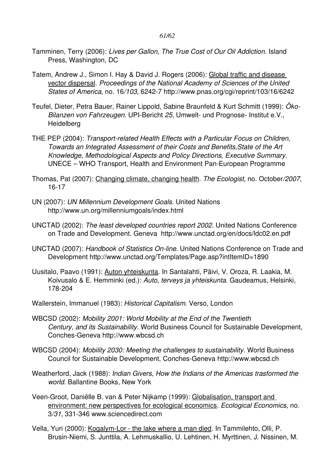- Tamminen, Terry (2006): *Lives per Gallon, The True Cost of Our Oil Addiction*. Island Press, Washington, DC
- Tatem, Andrew J., Simon I. Hay & David J. Rogers (2006): Global traffic and disease vector dispersal. *Proceedings of the National Academy of Sciences of the United States of America*, no. 16*/103*, 62427 http://www.pnas.org/cgi/reprint/103/16/6242
- Teufel, Dieter, Petra Bauer, Rainer Lippold, Sabine Braunfeld & Kurt Schmitt (1999): *Öko-Bilanzen von Fahrzeugen*. UPI-Bericht 25, Umwelt- und Prognose- Institut e.V., **Heidelberg**
- THE PEP (2004): *Transport-related Health Effects with a Particular Focus on Children, Towards an Integrated Assessment of their Costs and Benefits,State of the Art Knowledge, Methodological Aspects and Policy Directions, Executive Summary*. UNECE – WHO Transport, Health and Environment Pan-European Programme
- Thomas, Pat (2007): Changing climate, changing health. *The Ecologist*, no. October*/2007*, 16-17
- UN (2007): *UN Millennium Development Goals*. United Nations http://www.un.org/millenniumgoals/index.html
- UNCTAD (2002): *The least developed countries report 2002*. United Nations Conference on Trade and Development. Geneva http://www.unctad.org/en/docs/ldc02.en.pdf
- UNCTAD (2007): *Handbook of Statistics On-line*. United Nations Conference on Trade and Development http://www.unctad.org/Templates/Page.asp?intItemID=1890
- Uusitalo, Paavo (1991): Auton yhteiskunta. In Santalahti, Päivi, V. Oroza, R. Laakia, M. Koivusalo & E. Hemminki (ed.): *Auto, terveys ja yhteiskunta*. Gaudeamus, Helsinki, 178-204
- Wallerstein, Immanuel (1983): *Historical Capitalism*. Verso, London
- WBCSD (2002): *Mobility 2001: World Mobility at the End of the Twentieth Century, and its Sustainability*. World Business Council for Sustainable Development, Conches-Geneva http://www.wbcsd.ch
- WBCSD (2004): *Mobility 2030: Meeting the challenges to sustainability*. World Business Council for Sustainable Development, Conches-Geneva http://www.wbcsd.ch
- Weatherford, Jack (1988): *Indian Givers, How the Indians of the Americas trasformed the world*. Ballantine Books, New York
- Veen-Groot, Daniëlle B. van & Peter Nijkamp (1999): Globalisation, transport and environment: new perspectives for ecological economics. *Ecological Economics*, no. 3/31, 331-346 www.sciencedirect.com
- Vella, Yuri (2000): Kogalym-Lor the lake where a man died. In Tammilehto, Olli, P. Brusin-Niemi, S. Junttila, A. Lehmuskallio, U. Lehtinen, H. Myrttinen, J. Nissinen, M.